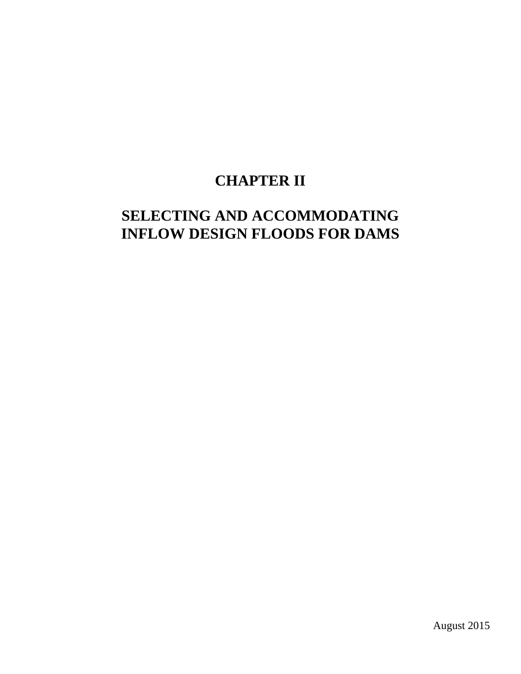# **CHAPTER II**

# **SELECTING AND ACCOMMODATING INFLOW DESIGN FLOODS FOR DAMS**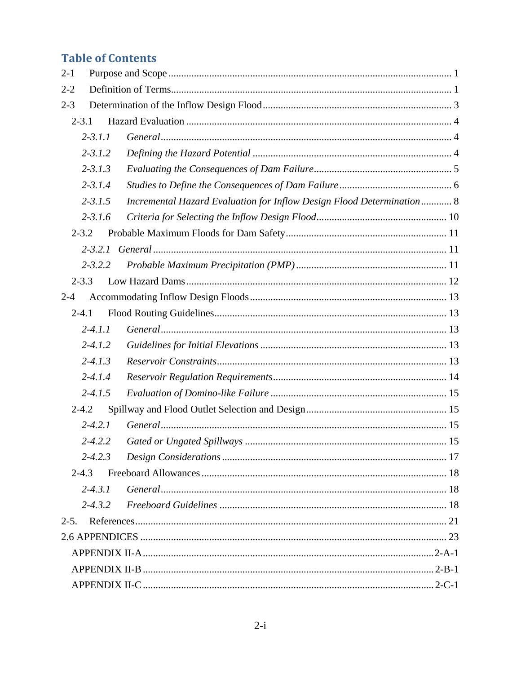# **Table of Contents**

| $2 - 1$ |             |  |                                                                       |  |  |  |  |
|---------|-------------|--|-----------------------------------------------------------------------|--|--|--|--|
| $2 - 2$ |             |  |                                                                       |  |  |  |  |
| $2 - 3$ |             |  |                                                                       |  |  |  |  |
|         | $2 - 3.1$   |  |                                                                       |  |  |  |  |
|         | $2 - 3.1.1$ |  |                                                                       |  |  |  |  |
|         | $2 - 3.1.2$ |  |                                                                       |  |  |  |  |
|         | $2 - 3.1.3$ |  |                                                                       |  |  |  |  |
|         | $2 - 3.1.4$ |  |                                                                       |  |  |  |  |
|         | $2 - 3.1.5$ |  | Incremental Hazard Evaluation for Inflow Design Flood Determination 8 |  |  |  |  |
|         | $2 - 3.1.6$ |  |                                                                       |  |  |  |  |
|         | $2 - 3.2$   |  |                                                                       |  |  |  |  |
|         |             |  |                                                                       |  |  |  |  |
|         | $2 - 3.2.2$ |  |                                                                       |  |  |  |  |
|         | $2 - 3.3$   |  |                                                                       |  |  |  |  |
| $2 - 4$ |             |  |                                                                       |  |  |  |  |
|         | $2 - 4.1$   |  |                                                                       |  |  |  |  |
|         | $2 - 4.1.1$ |  |                                                                       |  |  |  |  |
|         | $2 - 4.1.2$ |  |                                                                       |  |  |  |  |
|         | $2 - 4.1.3$ |  |                                                                       |  |  |  |  |
|         | $2 - 4.1.4$ |  |                                                                       |  |  |  |  |
|         | $2 - 4.1.5$ |  |                                                                       |  |  |  |  |
|         | $2 - 4.2$   |  |                                                                       |  |  |  |  |
|         | $2 - 4.2.1$ |  |                                                                       |  |  |  |  |
|         | $2 - 4.2.2$ |  |                                                                       |  |  |  |  |
|         | $2 - 4.2.3$ |  |                                                                       |  |  |  |  |
|         | $2 - 4.3$   |  |                                                                       |  |  |  |  |
|         | $2 - 4.3.1$ |  |                                                                       |  |  |  |  |
|         | $2 - 4.3.2$ |  |                                                                       |  |  |  |  |
| $2-5.$  |             |  |                                                                       |  |  |  |  |
|         |             |  |                                                                       |  |  |  |  |
|         |             |  |                                                                       |  |  |  |  |
|         |             |  |                                                                       |  |  |  |  |
|         |             |  |                                                                       |  |  |  |  |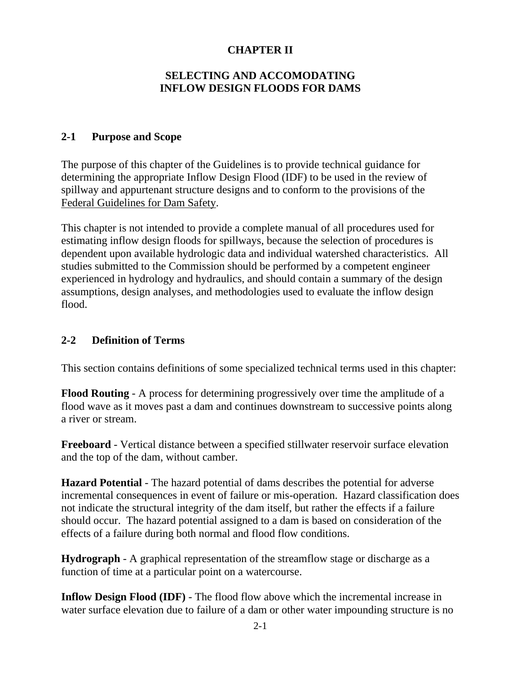## **CHAPTER II**

### **SELECTING AND ACCOMODATING INFLOW DESIGN FLOODS FOR DAMS**

#### **2-1 Purpose and Scope**

The purpose of this chapter of the Guidelines is to provide technical guidance for determining the appropriate Inflow Design Flood (IDF) to be used in the review of spillway and appurtenant structure designs and to conform to the provisions of the Federal Guidelines for Dam Safety.

This chapter is not intended to provide a complete manual of all procedures used for estimating inflow design floods for spillways, because the selection of procedures is dependent upon available hydrologic data and individual watershed characteristics. All studies submitted to the Commission should be performed by a competent engineer experienced in hydrology and hydraulics, and should contain a summary of the design assumptions, design analyses, and methodologies used to evaluate the inflow design flood.

## **2-2 Definition of Terms**

This section contains definitions of some specialized technical terms used in this chapter:

**Flood Routing** - A process for determining progressively over time the amplitude of a flood wave as it moves past a dam and continues downstream to successive points along a river or stream.

**Freeboard** - Vertical distance between a specified stillwater reservoir surface elevation and the top of the dam, without camber.

**Hazard Potential** - The hazard potential of dams describes the potential for adverse incremental consequences in event of failure or mis-operation. Hazard classification does not indicate the structural integrity of the dam itself, but rather the effects if a failure should occur. The hazard potential assigned to a dam is based on consideration of the effects of a failure during both normal and flood flow conditions.

**Hydrograph** - A graphical representation of the streamflow stage or discharge as a function of time at a particular point on a watercourse.

**Inflow Design Flood (IDF)** - The flood flow above which the incremental increase in water surface elevation due to failure of a dam or other water impounding structure is no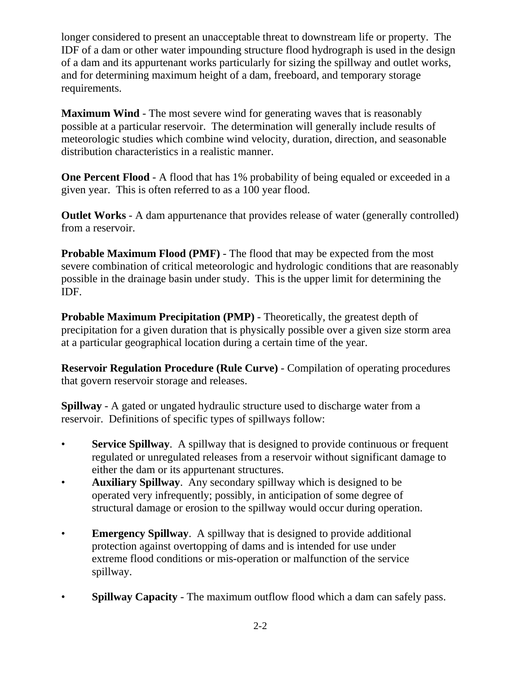longer considered to present an unacceptable threat to downstream life or property. The IDF of a dam or other water impounding structure flood hydrograph is used in the design of a dam and its appurtenant works particularly for sizing the spillway and outlet works, and for determining maximum height of a dam, freeboard, and temporary storage requirements.

**Maximum Wind** - The most severe wind for generating waves that is reasonably possible at a particular reservoir. The determination will generally include results of meteorologic studies which combine wind velocity, duration, direction, and seasonable distribution characteristics in a realistic manner.

**One Percent Flood** - A flood that has 1% probability of being equaled or exceeded in a given year. This is often referred to as a 100 year flood.

**Outlet Works** - A dam appurtenance that provides release of water (generally controlled) from a reservoir.

**Probable Maximum Flood (PMF)** - The flood that may be expected from the most severe combination of critical meteorologic and hydrologic conditions that are reasonably possible in the drainage basin under study. This is the upper limit for determining the IDF.

**Probable Maximum Precipitation (PMP)** - Theoretically, the greatest depth of precipitation for a given duration that is physically possible over a given size storm area at a particular geographical location during a certain time of the year.

**Reservoir Regulation Procedure (Rule Curve)** - Compilation of operating procedures that govern reservoir storage and releases.

**Spillway** - A gated or ungated hydraulic structure used to discharge water from a reservoir. Definitions of specific types of spillways follow:

- **Service Spillway.** A spillway that is designed to provide continuous or frequent regulated or unregulated releases from a reservoir without significant damage to either the dam or its appurtenant structures.
- **Auxiliary Spillway**. Any secondary spillway which is designed to be operated very infrequently; possibly, in anticipation of some degree of structural damage or erosion to the spillway would occur during operation.
- **Emergency Spillway**. A spillway that is designed to provide additional protection against overtopping of dams and is intended for use under extreme flood conditions or mis-operation or malfunction of the service spillway.
- **Spillway Capacity** The maximum outflow flood which a dam can safely pass.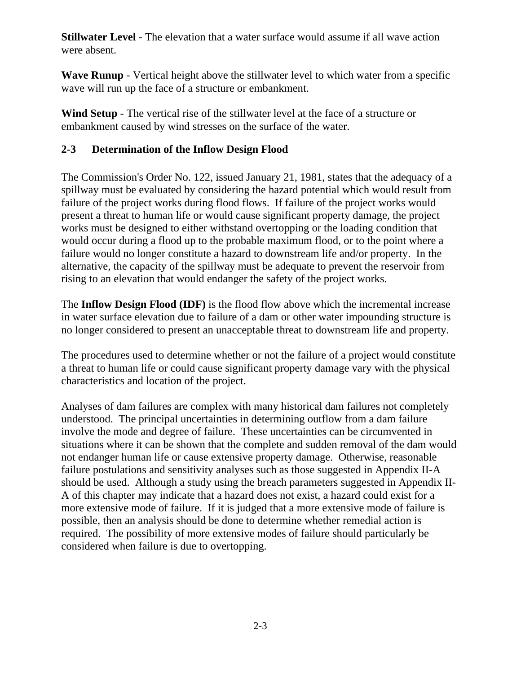**Stillwater Level** - The elevation that a water surface would assume if all wave action were absent.

**Wave Runup** - Vertical height above the stillwater level to which water from a specific wave will run up the face of a structure or embankment.

**Wind Setup** - The vertical rise of the stillwater level at the face of a structure or embankment caused by wind stresses on the surface of the water.

## **2-3 Determination of the Inflow Design Flood**

The Commission's Order No. 122, issued January 21, 1981, states that the adequacy of a spillway must be evaluated by considering the hazard potential which would result from failure of the project works during flood flows. If failure of the project works would present a threat to human life or would cause significant property damage, the project works must be designed to either withstand overtopping or the loading condition that would occur during a flood up to the probable maximum flood, or to the point where a failure would no longer constitute a hazard to downstream life and/or property. In the alternative, the capacity of the spillway must be adequate to prevent the reservoir from rising to an elevation that would endanger the safety of the project works.

The **Inflow Design Flood (IDF)** is the flood flow above which the incremental increase in water surface elevation due to failure of a dam or other water impounding structure is no longer considered to present an unacceptable threat to downstream life and property.

The procedures used to determine whether or not the failure of a project would constitute a threat to human life or could cause significant property damage vary with the physical characteristics and location of the project.

Analyses of dam failures are complex with many historical dam failures not completely understood. The principal uncertainties in determining outflow from a dam failure involve the mode and degree of failure. These uncertainties can be circumvented in situations where it can be shown that the complete and sudden removal of the dam would not endanger human life or cause extensive property damage. Otherwise, reasonable failure postulations and sensitivity analyses such as those suggested in Appendix II-A should be used. Although a study using the breach parameters suggested in Appendix II-A of this chapter may indicate that a hazard does not exist, a hazard could exist for a more extensive mode of failure. If it is judged that a more extensive mode of failure is possible, then an analysis should be done to determine whether remedial action is required. The possibility of more extensive modes of failure should particularly be considered when failure is due to overtopping.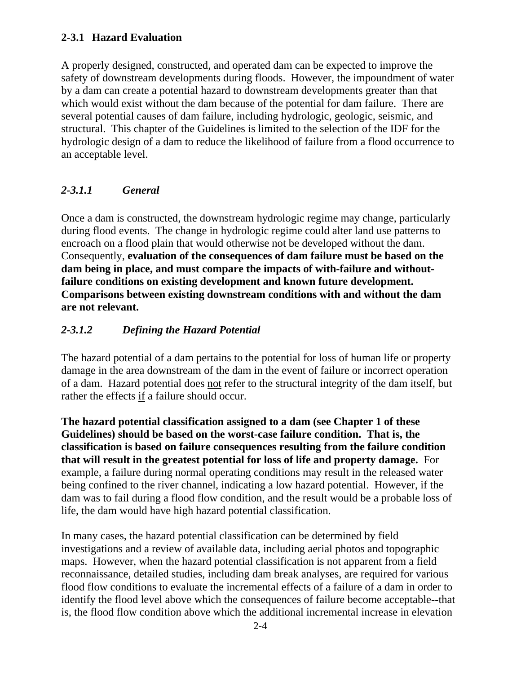#### **2-3.1 Hazard Evaluation**

A properly designed, constructed, and operated dam can be expected to improve the safety of downstream developments during floods. However, the impoundment of water by a dam can create a potential hazard to downstream developments greater than that which would exist without the dam because of the potential for dam failure. There are several potential causes of dam failure, including hydrologic, geologic, seismic, and structural. This chapter of the Guidelines is limited to the selection of the IDF for the hydrologic design of a dam to reduce the likelihood of failure from a flood occurrence to an acceptable level.

## *2-3.1.1 General*

Once a dam is constructed, the downstream hydrologic regime may change, particularly during flood events. The change in hydrologic regime could alter land use patterns to encroach on a flood plain that would otherwise not be developed without the dam. Consequently, **evaluation of the consequences of dam failure must be based on the dam being in place, and must compare the impacts of with-failure and withoutfailure conditions on existing development and known future development. Comparisons between existing downstream conditions with and without the dam are not relevant.** 

## *2-3.1.2 Defining the Hazard Potential*

The hazard potential of a dam pertains to the potential for loss of human life or property damage in the area downstream of the dam in the event of failure or incorrect operation of a dam. Hazard potential does not refer to the structural integrity of the dam itself, but rather the effects if a failure should occur.

**The hazard potential classification assigned to a dam (see Chapter 1 of these Guidelines) should be based on the worst-case failure condition. That is, the classification is based on failure consequences resulting from the failure condition that will result in the greatest potential for loss of life and property damage.** For example, a failure during normal operating conditions may result in the released water being confined to the river channel, indicating a low hazard potential. However, if the dam was to fail during a flood flow condition, and the result would be a probable loss of life, the dam would have high hazard potential classification.

In many cases, the hazard potential classification can be determined by field investigations and a review of available data, including aerial photos and topographic maps. However, when the hazard potential classification is not apparent from a field reconnaissance, detailed studies, including dam break analyses, are required for various flood flow conditions to evaluate the incremental effects of a failure of a dam in order to identify the flood level above which the consequences of failure become acceptable--that is, the flood flow condition above which the additional incremental increase in elevation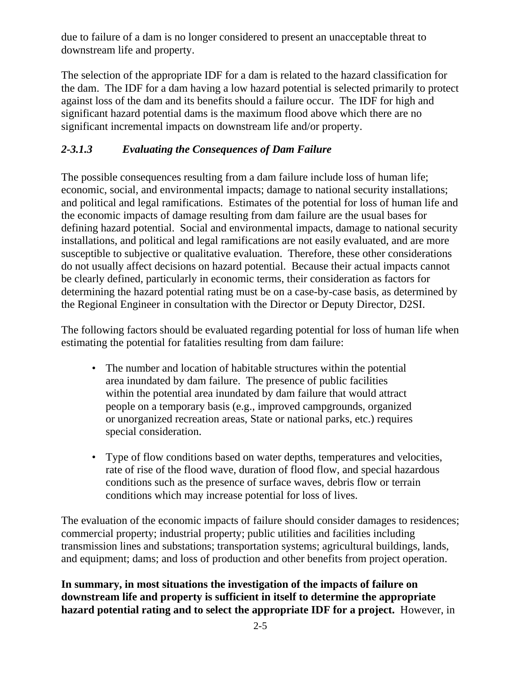due to failure of a dam is no longer considered to present an unacceptable threat to downstream life and property.

The selection of the appropriate IDF for a dam is related to the hazard classification for the dam. The IDF for a dam having a low hazard potential is selected primarily to protect against loss of the dam and its benefits should a failure occur. The IDF for high and significant hazard potential dams is the maximum flood above which there are no significant incremental impacts on downstream life and/or property.

# *2-3.1.3 Evaluating the Consequences of Dam Failure*

The possible consequences resulting from a dam failure include loss of human life; economic, social, and environmental impacts; damage to national security installations; and political and legal ramifications. Estimates of the potential for loss of human life and the economic impacts of damage resulting from dam failure are the usual bases for defining hazard potential. Social and environmental impacts, damage to national security installations, and political and legal ramifications are not easily evaluated, and are more susceptible to subjective or qualitative evaluation. Therefore, these other considerations do not usually affect decisions on hazard potential. Because their actual impacts cannot be clearly defined, particularly in economic terms, their consideration as factors for determining the hazard potential rating must be on a case-by-case basis, as determined by the Regional Engineer in consultation with the Director or Deputy Director, D2SI.

The following factors should be evaluated regarding potential for loss of human life when estimating the potential for fatalities resulting from dam failure:

- The number and location of habitable structures within the potential area inundated by dam failure. The presence of public facilities within the potential area inundated by dam failure that would attract people on a temporary basis (e.g., improved campgrounds, organized or unorganized recreation areas, State or national parks, etc.) requires special consideration.
- Type of flow conditions based on water depths, temperatures and velocities, rate of rise of the flood wave, duration of flood flow, and special hazardous conditions such as the presence of surface waves, debris flow or terrain conditions which may increase potential for loss of lives.

The evaluation of the economic impacts of failure should consider damages to residences; commercial property; industrial property; public utilities and facilities including transmission lines and substations; transportation systems; agricultural buildings, lands, and equipment; dams; and loss of production and other benefits from project operation.

**In summary, in most situations the investigation of the impacts of failure on downstream life and property is sufficient in itself to determine the appropriate hazard potential rating and to select the appropriate IDF for a project.** However, in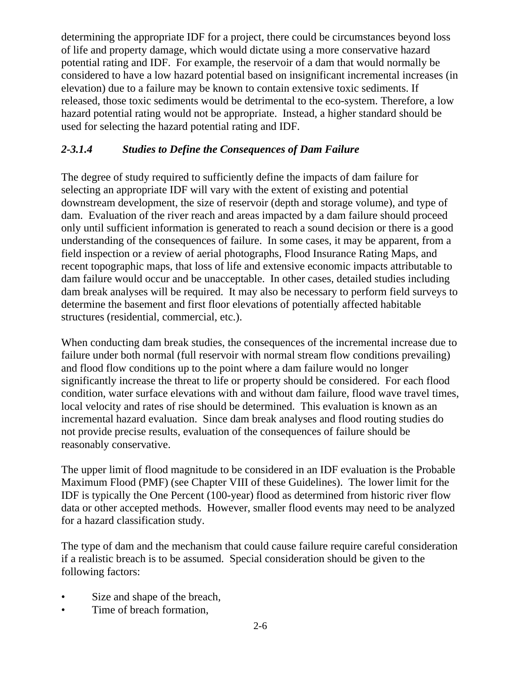determining the appropriate IDF for a project, there could be circumstances beyond loss of life and property damage, which would dictate using a more conservative hazard potential rating and IDF. For example, the reservoir of a dam that would normally be considered to have a low hazard potential based on insignificant incremental increases (in elevation) due to a failure may be known to contain extensive toxic sediments. If released, those toxic sediments would be detrimental to the eco-system. Therefore, a low hazard potential rating would not be appropriate. Instead, a higher standard should be used for selecting the hazard potential rating and IDF.

# *2-3.1.4 Studies to Define the Consequences of Dam Failure*

The degree of study required to sufficiently define the impacts of dam failure for selecting an appropriate IDF will vary with the extent of existing and potential downstream development, the size of reservoir (depth and storage volume), and type of dam. Evaluation of the river reach and areas impacted by a dam failure should proceed only until sufficient information is generated to reach a sound decision or there is a good understanding of the consequences of failure. In some cases, it may be apparent, from a field inspection or a review of aerial photographs, Flood Insurance Rating Maps, and recent topographic maps, that loss of life and extensive economic impacts attributable to dam failure would occur and be unacceptable. In other cases, detailed studies including dam break analyses will be required. It may also be necessary to perform field surveys to determine the basement and first floor elevations of potentially affected habitable structures (residential, commercial, etc.).

When conducting dam break studies, the consequences of the incremental increase due to failure under both normal (full reservoir with normal stream flow conditions prevailing) and flood flow conditions up to the point where a dam failure would no longer significantly increase the threat to life or property should be considered. For each flood condition, water surface elevations with and without dam failure, flood wave travel times, local velocity and rates of rise should be determined. This evaluation is known as an incremental hazard evaluation. Since dam break analyses and flood routing studies do not provide precise results, evaluation of the consequences of failure should be reasonably conservative.

The upper limit of flood magnitude to be considered in an IDF evaluation is the Probable Maximum Flood (PMF) (see Chapter VIII of these Guidelines). The lower limit for the IDF is typically the One Percent (100-year) flood as determined from historic river flow data or other accepted methods. However, smaller flood events may need to be analyzed for a hazard classification study.

The type of dam and the mechanism that could cause failure require careful consideration if a realistic breach is to be assumed. Special consideration should be given to the following factors:

- Size and shape of the breach,
- Time of breach formation,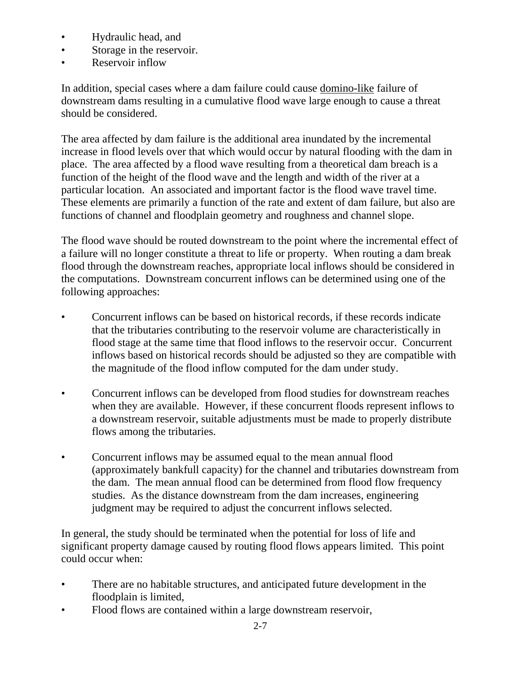- Hydraulic head, and
- Storage in the reservoir.
- Reservoir inflow

In addition, special cases where a dam failure could cause domino-like failure of downstream dams resulting in a cumulative flood wave large enough to cause a threat should be considered.

The area affected by dam failure is the additional area inundated by the incremental increase in flood levels over that which would occur by natural flooding with the dam in place. The area affected by a flood wave resulting from a theoretical dam breach is a function of the height of the flood wave and the length and width of the river at a particular location. An associated and important factor is the flood wave travel time. These elements are primarily a function of the rate and extent of dam failure, but also are functions of channel and floodplain geometry and roughness and channel slope.

The flood wave should be routed downstream to the point where the incremental effect of a failure will no longer constitute a threat to life or property. When routing a dam break flood through the downstream reaches, appropriate local inflows should be considered in the computations. Downstream concurrent inflows can be determined using one of the following approaches:

- Concurrent inflows can be based on historical records, if these records indicate that the tributaries contributing to the reservoir volume are characteristically in flood stage at the same time that flood inflows to the reservoir occur. Concurrent inflows based on historical records should be adjusted so they are compatible with the magnitude of the flood inflow computed for the dam under study.
- Concurrent inflows can be developed from flood studies for downstream reaches when they are available. However, if these concurrent floods represent inflows to a downstream reservoir, suitable adjustments must be made to properly distribute flows among the tributaries.
- Concurrent inflows may be assumed equal to the mean annual flood (approximately bankfull capacity) for the channel and tributaries downstream from the dam. The mean annual flood can be determined from flood flow frequency studies. As the distance downstream from the dam increases, engineering judgment may be required to adjust the concurrent inflows selected.

In general, the study should be terminated when the potential for loss of life and significant property damage caused by routing flood flows appears limited. This point could occur when:

- There are no habitable structures, and anticipated future development in the floodplain is limited,
- Flood flows are contained within a large downstream reservoir,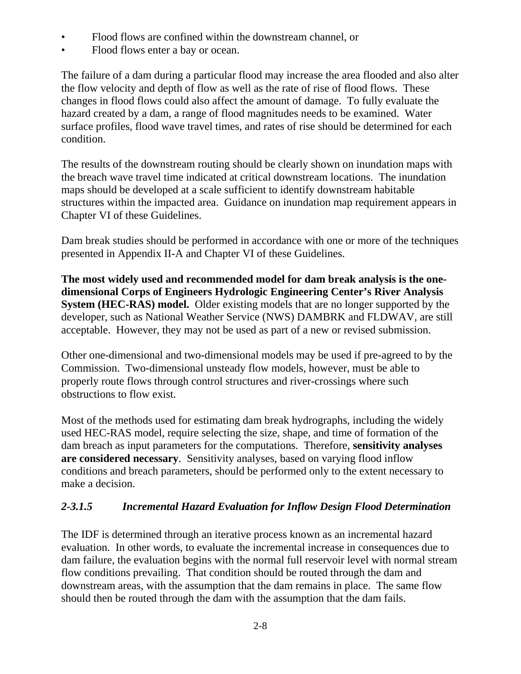- Flood flows are confined within the downstream channel, or
- Flood flows enter a bay or ocean.

The failure of a dam during a particular flood may increase the area flooded and also alter the flow velocity and depth of flow as well as the rate of rise of flood flows. These changes in flood flows could also affect the amount of damage. To fully evaluate the hazard created by a dam, a range of flood magnitudes needs to be examined. Water surface profiles, flood wave travel times, and rates of rise should be determined for each condition.

The results of the downstream routing should be clearly shown on inundation maps with the breach wave travel time indicated at critical downstream locations. The inundation maps should be developed at a scale sufficient to identify downstream habitable structures within the impacted area. Guidance on inundation map requirement appears in Chapter VI of these Guidelines.

Dam break studies should be performed in accordance with one or more of the techniques presented in Appendix II-A and Chapter VI of these Guidelines.

**The most widely used and recommended model for dam break analysis is the onedimensional Corps of Engineers Hydrologic Engineering Center's River Analysis System (HEC-RAS) model.** Older existing models that are no longer supported by the developer, such as National Weather Service (NWS) DAMBRK and FLDWAV, are still acceptable. However, they may not be used as part of a new or revised submission.

Other one-dimensional and two-dimensional models may be used if pre-agreed to by the Commission. Two-dimensional unsteady flow models, however, must be able to properly route flows through control structures and river-crossings where such obstructions to flow exist.

Most of the methods used for estimating dam break hydrographs, including the widely used HEC-RAS model, require selecting the size, shape, and time of formation of the dam breach as input parameters for the computations. Therefore, **sensitivity analyses are considered necessary**. Sensitivity analyses, based on varying flood inflow conditions and breach parameters, should be performed only to the extent necessary to make a decision.

## *2-3.1.5 Incremental Hazard Evaluation for Inflow Design Flood Determination*

The IDF is determined through an iterative process known as an incremental hazard evaluation. In other words, to evaluate the incremental increase in consequences due to dam failure, the evaluation begins with the normal full reservoir level with normal stream flow conditions prevailing. That condition should be routed through the dam and downstream areas, with the assumption that the dam remains in place. The same flow should then be routed through the dam with the assumption that the dam fails.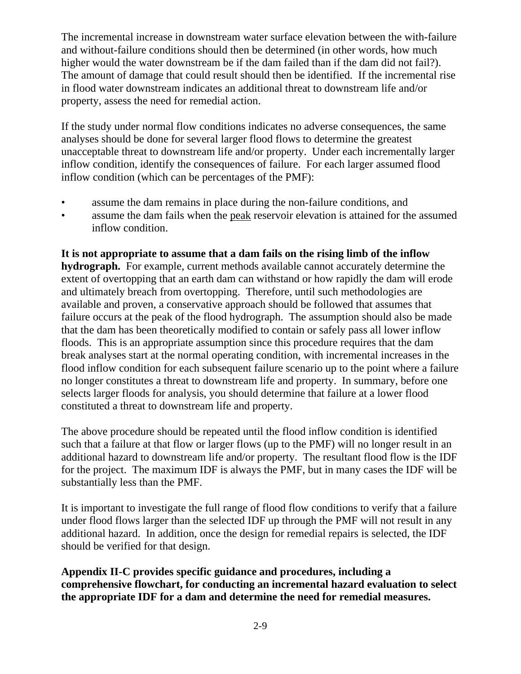The incremental increase in downstream water surface elevation between the with-failure and without-failure conditions should then be determined (in other words, how much higher would the water downstream be if the dam failed than if the dam did not fail?). The amount of damage that could result should then be identified. If the incremental rise in flood water downstream indicates an additional threat to downstream life and/or property, assess the need for remedial action.

If the study under normal flow conditions indicates no adverse consequences, the same analyses should be done for several larger flood flows to determine the greatest unacceptable threat to downstream life and/or property. Under each incrementally larger inflow condition, identify the consequences of failure. For each larger assumed flood inflow condition (which can be percentages of the PMF):

- assume the dam remains in place during the non-failure conditions, and
- assume the dam fails when the peak reservoir elevation is attained for the assumed inflow condition.

**It is not appropriate to assume that a dam fails on the rising limb of the inflow hydrograph.** For example, current methods available cannot accurately determine the extent of overtopping that an earth dam can withstand or how rapidly the dam will erode and ultimately breach from overtopping. Therefore, until such methodologies are available and proven, a conservative approach should be followed that assumes that failure occurs at the peak of the flood hydrograph. The assumption should also be made that the dam has been theoretically modified to contain or safely pass all lower inflow floods. This is an appropriate assumption since this procedure requires that the dam break analyses start at the normal operating condition, with incremental increases in the flood inflow condition for each subsequent failure scenario up to the point where a failure no longer constitutes a threat to downstream life and property. In summary, before one selects larger floods for analysis, you should determine that failure at a lower flood constituted a threat to downstream life and property.

The above procedure should be repeated until the flood inflow condition is identified such that a failure at that flow or larger flows (up to the PMF) will no longer result in an additional hazard to downstream life and/or property. The resultant flood flow is the IDF for the project. The maximum IDF is always the PMF, but in many cases the IDF will be substantially less than the PMF.

It is important to investigate the full range of flood flow conditions to verify that a failure under flood flows larger than the selected IDF up through the PMF will not result in any additional hazard. In addition, once the design for remedial repairs is selected, the IDF should be verified for that design.

**Appendix II-C provides specific guidance and procedures, including a comprehensive flowchart, for conducting an incremental hazard evaluation to select the appropriate IDF for a dam and determine the need for remedial measures.**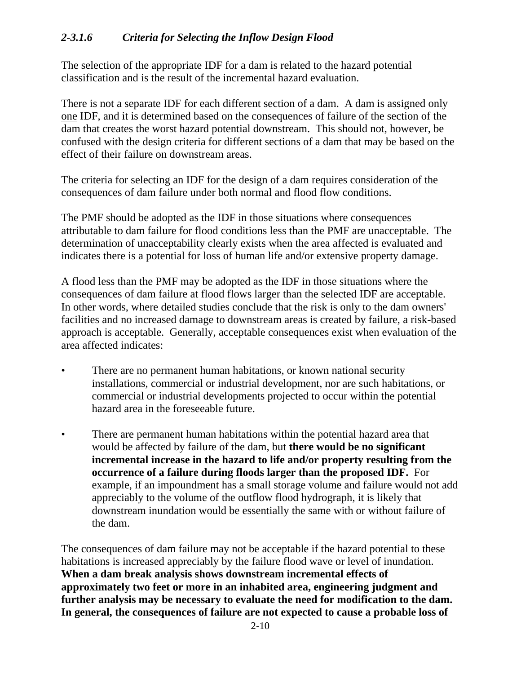### *2-3.1.6 Criteria for Selecting the Inflow Design Flood*

The selection of the appropriate IDF for a dam is related to the hazard potential classification and is the result of the incremental hazard evaluation.

There is not a separate IDF for each different section of a dam. A dam is assigned only one IDF, and it is determined based on the consequences of failure of the section of the dam that creates the worst hazard potential downstream. This should not, however, be confused with the design criteria for different sections of a dam that may be based on the effect of their failure on downstream areas.

The criteria for selecting an IDF for the design of a dam requires consideration of the consequences of dam failure under both normal and flood flow conditions.

The PMF should be adopted as the IDF in those situations where consequences attributable to dam failure for flood conditions less than the PMF are unacceptable. The determination of unacceptability clearly exists when the area affected is evaluated and indicates there is a potential for loss of human life and/or extensive property damage.

A flood less than the PMF may be adopted as the IDF in those situations where the consequences of dam failure at flood flows larger than the selected IDF are acceptable. In other words, where detailed studies conclude that the risk is only to the dam owners' facilities and no increased damage to downstream areas is created by failure, a risk-based approach is acceptable. Generally, acceptable consequences exist when evaluation of the area affected indicates:

- There are no permanent human habitations, or known national security installations, commercial or industrial development, nor are such habitations, or commercial or industrial developments projected to occur within the potential hazard area in the foreseeable future.
- There are permanent human habitations within the potential hazard area that would be affected by failure of the dam, but **there would be no significant incremental increase in the hazard to life and/or property resulting from the occurrence of a failure during floods larger than the proposed IDF.** For example, if an impoundment has a small storage volume and failure would not add appreciably to the volume of the outflow flood hydrograph, it is likely that downstream inundation would be essentially the same with or without failure of the dam.

The consequences of dam failure may not be acceptable if the hazard potential to these habitations is increased appreciably by the failure flood wave or level of inundation. **When a dam break analysis shows downstream incremental effects of approximately two feet or more in an inhabited area, engineering judgment and further analysis may be necessary to evaluate the need for modification to the dam. In general, the consequences of failure are not expected to cause a probable loss of**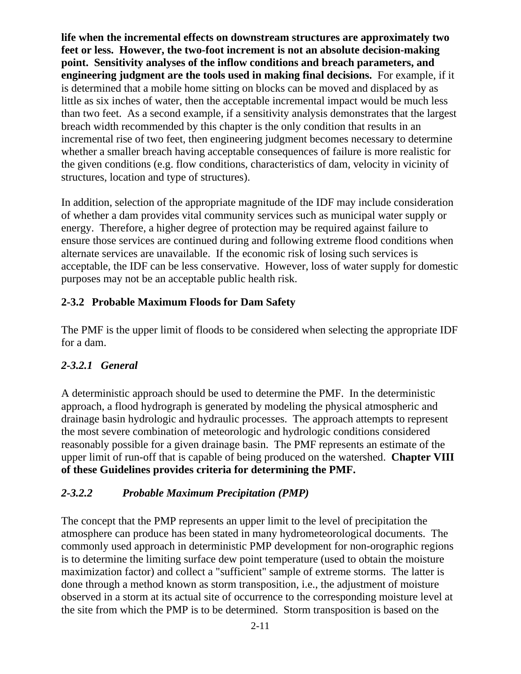**life when the incremental effects on downstream structures are approximately two feet or less. However, the two-foot increment is not an absolute decision-making point. Sensitivity analyses of the inflow conditions and breach parameters, and engineering judgment are the tools used in making final decisions.** For example, if it is determined that a mobile home sitting on blocks can be moved and displaced by as little as six inches of water, then the acceptable incremental impact would be much less than two feet. As a second example, if a sensitivity analysis demonstrates that the largest breach width recommended by this chapter is the only condition that results in an incremental rise of two feet, then engineering judgment becomes necessary to determine whether a smaller breach having acceptable consequences of failure is more realistic for the given conditions (e.g. flow conditions, characteristics of dam, velocity in vicinity of structures, location and type of structures).

In addition, selection of the appropriate magnitude of the IDF may include consideration of whether a dam provides vital community services such as municipal water supply or energy. Therefore, a higher degree of protection may be required against failure to ensure those services are continued during and following extreme flood conditions when alternate services are unavailable. If the economic risk of losing such services is acceptable, the IDF can be less conservative. However, loss of water supply for domestic purposes may not be an acceptable public health risk.

## **2-3.2 Probable Maximum Floods for Dam Safety**

The PMF is the upper limit of floods to be considered when selecting the appropriate IDF for a dam.

## *2-3.2.1 General*

A deterministic approach should be used to determine the PMF. In the deterministic approach, a flood hydrograph is generated by modeling the physical atmospheric and drainage basin hydrologic and hydraulic processes. The approach attempts to represent the most severe combination of meteorologic and hydrologic conditions considered reasonably possible for a given drainage basin. The PMF represents an estimate of the upper limit of run-off that is capable of being produced on the watershed. **Chapter VIII of these Guidelines provides criteria for determining the PMF.**

## *2-3.2.2 Probable Maximum Precipitation (PMP)*

The concept that the PMP represents an upper limit to the level of precipitation the atmosphere can produce has been stated in many hydrometeorological documents. The commonly used approach in deterministic PMP development for non-orographic regions is to determine the limiting surface dew point temperature (used to obtain the moisture maximization factor) and collect a "sufficient" sample of extreme storms. The latter is done through a method known as storm transposition, i.e., the adjustment of moisture observed in a storm at its actual site of occurrence to the corresponding moisture level at the site from which the PMP is to be determined. Storm transposition is based on the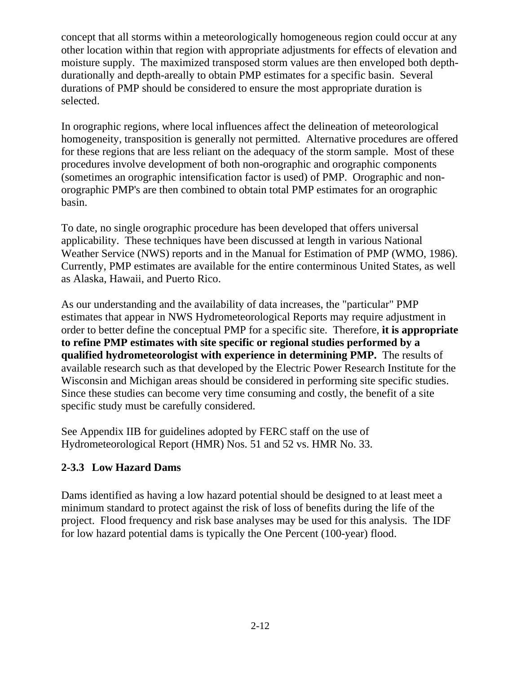concept that all storms within a meteorologically homogeneous region could occur at any other location within that region with appropriate adjustments for effects of elevation and moisture supply. The maximized transposed storm values are then enveloped both depthdurationally and depth-areally to obtain PMP estimates for a specific basin. Several durations of PMP should be considered to ensure the most appropriate duration is selected.

In orographic regions, where local influences affect the delineation of meteorological homogeneity, transposition is generally not permitted. Alternative procedures are offered for these regions that are less reliant on the adequacy of the storm sample. Most of these procedures involve development of both non-orographic and orographic components (sometimes an orographic intensification factor is used) of PMP. Orographic and nonorographic PMP's are then combined to obtain total PMP estimates for an orographic basin.

To date, no single orographic procedure has been developed that offers universal applicability. These techniques have been discussed at length in various National Weather Service (NWS) reports and in the Manual for Estimation of PMP (WMO, 1986). Currently, PMP estimates are available for the entire conterminous United States, as well as Alaska, Hawaii, and Puerto Rico.

As our understanding and the availability of data increases, the "particular" PMP estimates that appear in NWS Hydrometeorological Reports may require adjustment in order to better define the conceptual PMP for a specific site. Therefore, **it is appropriate to refine PMP estimates with site specific or regional studies performed by a qualified hydrometeorologist with experience in determining PMP.** The results of available research such as that developed by the Electric Power Research Institute for the Wisconsin and Michigan areas should be considered in performing site specific studies. Since these studies can become very time consuming and costly, the benefit of a site specific study must be carefully considered.

See Appendix IIB for guidelines adopted by FERC staff on the use of Hydrometeorological Report (HMR) Nos. 51 and 52 vs. HMR No. 33.

# **2-3.3 Low Hazard Dams**

Dams identified as having a low hazard potential should be designed to at least meet a minimum standard to protect against the risk of loss of benefits during the life of the project. Flood frequency and risk base analyses may be used for this analysis. The IDF for low hazard potential dams is typically the One Percent (100-year) flood.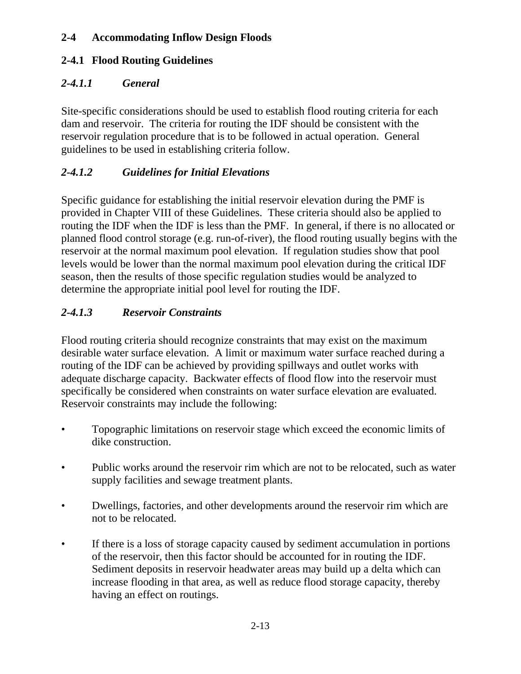## **2-4 Accommodating Inflow Design Floods**

### **2-4.1 Flood Routing Guidelines**

#### *2-4.1.1 General*

Site-specific considerations should be used to establish flood routing criteria for each dam and reservoir. The criteria for routing the IDF should be consistent with the reservoir regulation procedure that is to be followed in actual operation. General guidelines to be used in establishing criteria follow.

### *2-4.1.2 Guidelines for Initial Elevations*

Specific guidance for establishing the initial reservoir elevation during the PMF is provided in Chapter VIII of these Guidelines. These criteria should also be applied to routing the IDF when the IDF is less than the PMF. In general, if there is no allocated or planned flood control storage (e.g. run-of-river), the flood routing usually begins with the reservoir at the normal maximum pool elevation. If regulation studies show that pool levels would be lower than the normal maximum pool elevation during the critical IDF season, then the results of those specific regulation studies would be analyzed to determine the appropriate initial pool level for routing the IDF.

## *2-4.1.3 Reservoir Constraints*

Flood routing criteria should recognize constraints that may exist on the maximum desirable water surface elevation. A limit or maximum water surface reached during a routing of the IDF can be achieved by providing spillways and outlet works with adequate discharge capacity. Backwater effects of flood flow into the reservoir must specifically be considered when constraints on water surface elevation are evaluated. Reservoir constraints may include the following:

- Topographic limitations on reservoir stage which exceed the economic limits of dike construction.
- Public works around the reservoir rim which are not to be relocated, such as water supply facilities and sewage treatment plants.
- Dwellings, factories, and other developments around the reservoir rim which are not to be relocated.
- If there is a loss of storage capacity caused by sediment accumulation in portions of the reservoir, then this factor should be accounted for in routing the IDF. Sediment deposits in reservoir headwater areas may build up a delta which can increase flooding in that area, as well as reduce flood storage capacity, thereby having an effect on routings.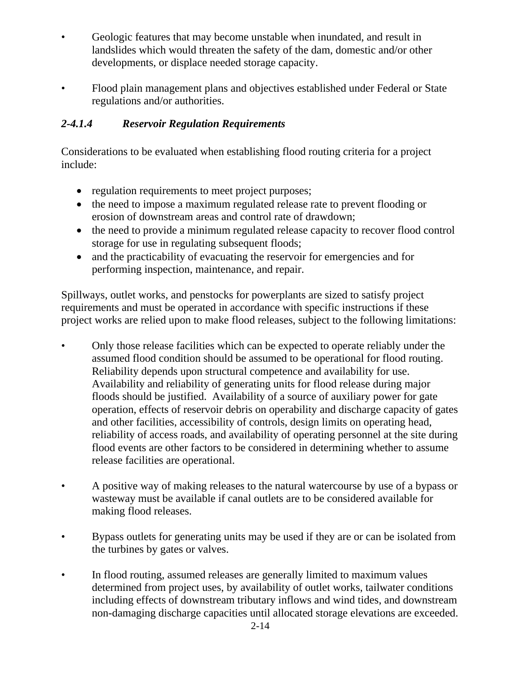- Geologic features that may become unstable when inundated, and result in landslides which would threaten the safety of the dam, domestic and/or other developments, or displace needed storage capacity.
- Flood plain management plans and objectives established under Federal or State regulations and/or authorities.

# *2-4.1.4 Reservoir Regulation Requirements*

Considerations to be evaluated when establishing flood routing criteria for a project include:

- regulation requirements to meet project purposes;
- the need to impose a maximum regulated release rate to prevent flooding or erosion of downstream areas and control rate of drawdown;
- the need to provide a minimum regulated release capacity to recover flood control storage for use in regulating subsequent floods;
- and the practicability of evacuating the reservoir for emergencies and for performing inspection, maintenance, and repair.

Spillways, outlet works, and penstocks for powerplants are sized to satisfy project requirements and must be operated in accordance with specific instructions if these project works are relied upon to make flood releases, subject to the following limitations:

- Only those release facilities which can be expected to operate reliably under the assumed flood condition should be assumed to be operational for flood routing. Reliability depends upon structural competence and availability for use. Availability and reliability of generating units for flood release during major floods should be justified. Availability of a source of auxiliary power for gate operation, effects of reservoir debris on operability and discharge capacity of gates and other facilities, accessibility of controls, design limits on operating head, reliability of access roads, and availability of operating personnel at the site during flood events are other factors to be considered in determining whether to assume release facilities are operational.
- A positive way of making releases to the natural watercourse by use of a bypass or wasteway must be available if canal outlets are to be considered available for making flood releases.
- Bypass outlets for generating units may be used if they are or can be isolated from the turbines by gates or valves.
- In flood routing, assumed releases are generally limited to maximum values determined from project uses, by availability of outlet works, tailwater conditions including effects of downstream tributary inflows and wind tides, and downstream non-damaging discharge capacities until allocated storage elevations are exceeded.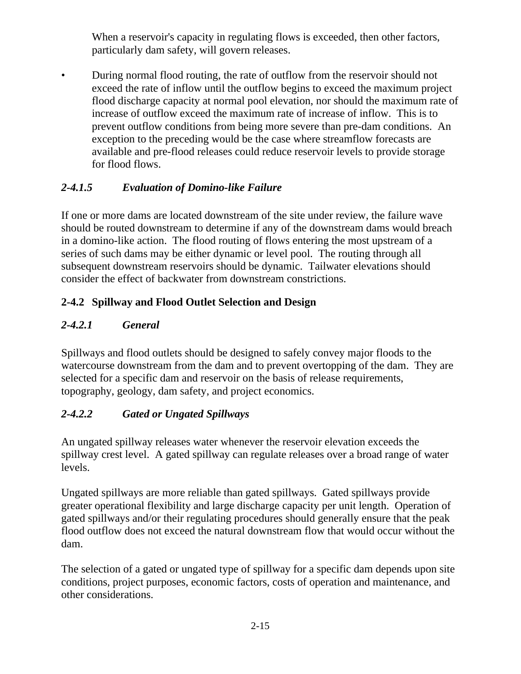When a reservoir's capacity in regulating flows is exceeded, then other factors, particularly dam safety, will govern releases.

• During normal flood routing, the rate of outflow from the reservoir should not exceed the rate of inflow until the outflow begins to exceed the maximum project flood discharge capacity at normal pool elevation, nor should the maximum rate of increase of outflow exceed the maximum rate of increase of inflow. This is to prevent outflow conditions from being more severe than pre-dam conditions. An exception to the preceding would be the case where streamflow forecasts are available and pre-flood releases could reduce reservoir levels to provide storage for flood flows.

# *2-4.1.5 Evaluation of Domino-like Failure*

If one or more dams are located downstream of the site under review, the failure wave should be routed downstream to determine if any of the downstream dams would breach in a domino-like action. The flood routing of flows entering the most upstream of a series of such dams may be either dynamic or level pool. The routing through all subsequent downstream reservoirs should be dynamic. Tailwater elevations should consider the effect of backwater from downstream constrictions.

# **2-4.2 Spillway and Flood Outlet Selection and Design**

# *2-4.2.1 General*

Spillways and flood outlets should be designed to safely convey major floods to the watercourse downstream from the dam and to prevent overtopping of the dam. They are selected for a specific dam and reservoir on the basis of release requirements, topography, geology, dam safety, and project economics.

# *2-4.2.2 Gated or Ungated Spillways*

An ungated spillway releases water whenever the reservoir elevation exceeds the spillway crest level. A gated spillway can regulate releases over a broad range of water levels.

Ungated spillways are more reliable than gated spillways. Gated spillways provide greater operational flexibility and large discharge capacity per unit length. Operation of gated spillways and/or their regulating procedures should generally ensure that the peak flood outflow does not exceed the natural downstream flow that would occur without the dam.

The selection of a gated or ungated type of spillway for a specific dam depends upon site conditions, project purposes, economic factors, costs of operation and maintenance, and other considerations.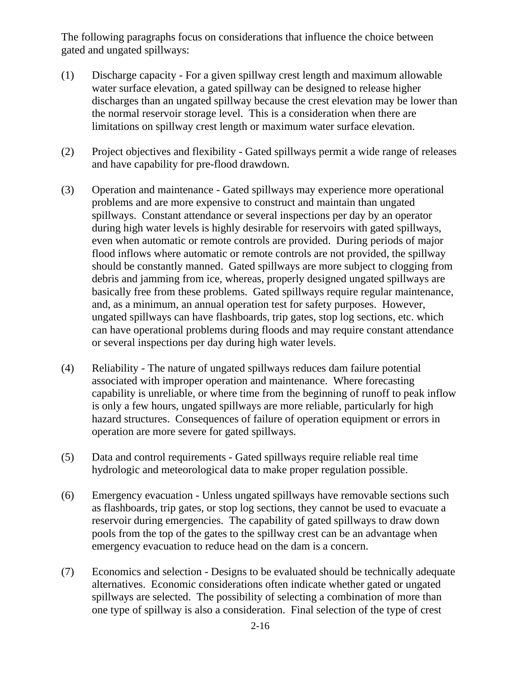The following paragraphs focus on considerations that influence the choice between gated and ungated spillways:

- (1) Discharge capacity For a given spillway crest length and maximum allowable water surface elevation, a gated spillway can be designed to release higher discharges than an ungated spillway because the crest elevation may be lower than the normal reservoir storage level. This is a consideration when there are limitations on spillway crest length or maximum water surface elevation.
- (2) Project objectives and flexibility Gated spillways permit a wide range of releases and have capability for pre-flood drawdown.
- (3) Operation and maintenance Gated spillways may experience more operational problems and are more expensive to construct and maintain than ungated spillways. Constant attendance or several inspections per day by an operator during high water levels is highly desirable for reservoirs with gated spillways, even when automatic or remote controls are provided. During periods of major flood inflows where automatic or remote controls are not provided, the spillway should be constantly manned. Gated spillways are more subject to clogging from debris and jamming from ice, whereas, properly designed ungated spillways are basically free from these problems. Gated spillways require regular maintenance, and, as a minimum, an annual operation test for safety purposes. However, ungated spillways can have flashboards, trip gates, stop log sections, etc. which can have operational problems during floods and may require constant attendance or several inspections per day during high water levels.
- (4) Reliability The nature of ungated spillways reduces dam failure potential associated with improper operation and maintenance. Where forecasting capability is unreliable, or where time from the beginning of runoff to peak inflow is only a few hours, ungated spillways are more reliable, particularly for high hazard structures. Consequences of failure of operation equipment or errors in operation are more severe for gated spillways.
- (5) Data and control requirements Gated spillways require reliable real time hydrologic and meteorological data to make proper regulation possible.
- (6) Emergency evacuation Unless ungated spillways have removable sections such as flashboards, trip gates, or stop log sections, they cannot be used to evacuate a reservoir during emergencies. The capability of gated spillways to draw down pools from the top of the gates to the spillway crest can be an advantage when emergency evacuation to reduce head on the dam is a concern.
- (7) Economics and selection Designs to be evaluated should be technically adequate alternatives. Economic considerations often indicate whether gated or ungated spillways are selected. The possibility of selecting a combination of more than one type of spillway is also a consideration. Final selection of the type of crest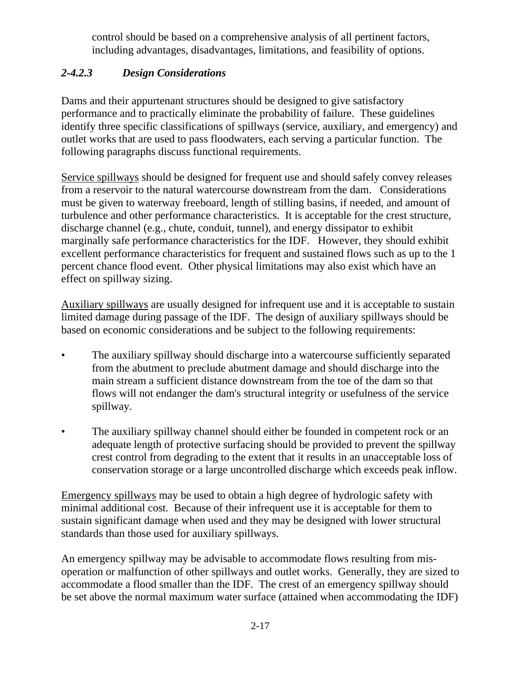control should be based on a comprehensive analysis of all pertinent factors, including advantages, disadvantages, limitations, and feasibility of options.

# *2-4.2.3 Design Considerations*

Dams and their appurtenant structures should be designed to give satisfactory performance and to practically eliminate the probability of failure. These guidelines identify three specific classifications of spillways (service, auxiliary, and emergency) and outlet works that are used to pass floodwaters, each serving a particular function. The following paragraphs discuss functional requirements.

Service spillways should be designed for frequent use and should safely convey releases from a reservoir to the natural watercourse downstream from the dam. Considerations must be given to waterway freeboard, length of stilling basins, if needed, and amount of turbulence and other performance characteristics. It is acceptable for the crest structure, discharge channel (e.g., chute, conduit, tunnel), and energy dissipator to exhibit marginally safe performance characteristics for the IDF. However, they should exhibit excellent performance characteristics for frequent and sustained flows such as up to the 1 percent chance flood event. Other physical limitations may also exist which have an effect on spillway sizing.

Auxiliary spillways are usually designed for infrequent use and it is acceptable to sustain limited damage during passage of the IDF. The design of auxiliary spillways should be based on economic considerations and be subject to the following requirements:

- The auxiliary spillway should discharge into a watercourse sufficiently separated from the abutment to preclude abutment damage and should discharge into the main stream a sufficient distance downstream from the toe of the dam so that flows will not endanger the dam's structural integrity or usefulness of the service spillway.
- The auxiliary spillway channel should either be founded in competent rock or an adequate length of protective surfacing should be provided to prevent the spillway crest control from degrading to the extent that it results in an unacceptable loss of conservation storage or a large uncontrolled discharge which exceeds peak inflow.

Emergency spillways may be used to obtain a high degree of hydrologic safety with minimal additional cost. Because of their infrequent use it is acceptable for them to sustain significant damage when used and they may be designed with lower structural standards than those used for auxiliary spillways.

An emergency spillway may be advisable to accommodate flows resulting from misoperation or malfunction of other spillways and outlet works. Generally, they are sized to accommodate a flood smaller than the IDF. The crest of an emergency spillway should be set above the normal maximum water surface (attained when accommodating the IDF)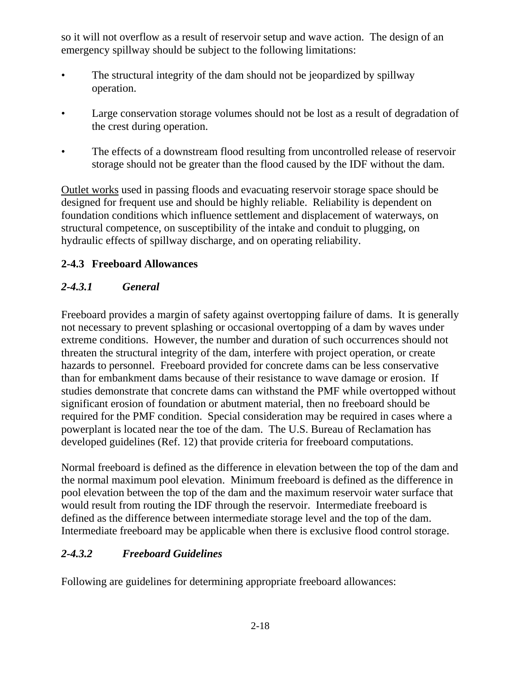so it will not overflow as a result of reservoir setup and wave action. The design of an emergency spillway should be subject to the following limitations:

- The structural integrity of the dam should not be jeopardized by spillway operation.
- Large conservation storage volumes should not be lost as a result of degradation of the crest during operation.
- The effects of a downstream flood resulting from uncontrolled release of reservoir storage should not be greater than the flood caused by the IDF without the dam.

Outlet works used in passing floods and evacuating reservoir storage space should be designed for frequent use and should be highly reliable. Reliability is dependent on foundation conditions which influence settlement and displacement of waterways, on structural competence, on susceptibility of the intake and conduit to plugging, on hydraulic effects of spillway discharge, and on operating reliability.

## **2-4.3 Freeboard Allowances**

# *2-4.3.1 General*

Freeboard provides a margin of safety against overtopping failure of dams. It is generally not necessary to prevent splashing or occasional overtopping of a dam by waves under extreme conditions. However, the number and duration of such occurrences should not threaten the structural integrity of the dam, interfere with project operation, or create hazards to personnel. Freeboard provided for concrete dams can be less conservative than for embankment dams because of their resistance to wave damage or erosion. If studies demonstrate that concrete dams can withstand the PMF while overtopped without significant erosion of foundation or abutment material, then no freeboard should be required for the PMF condition. Special consideration may be required in cases where a powerplant is located near the toe of the dam. The U.S. Bureau of Reclamation has developed guidelines (Ref. 12) that provide criteria for freeboard computations.

Normal freeboard is defined as the difference in elevation between the top of the dam and the normal maximum pool elevation. Minimum freeboard is defined as the difference in pool elevation between the top of the dam and the maximum reservoir water surface that would result from routing the IDF through the reservoir. Intermediate freeboard is defined as the difference between intermediate storage level and the top of the dam. Intermediate freeboard may be applicable when there is exclusive flood control storage.

# *2-4.3.2 Freeboard Guidelines*

Following are guidelines for determining appropriate freeboard allowances: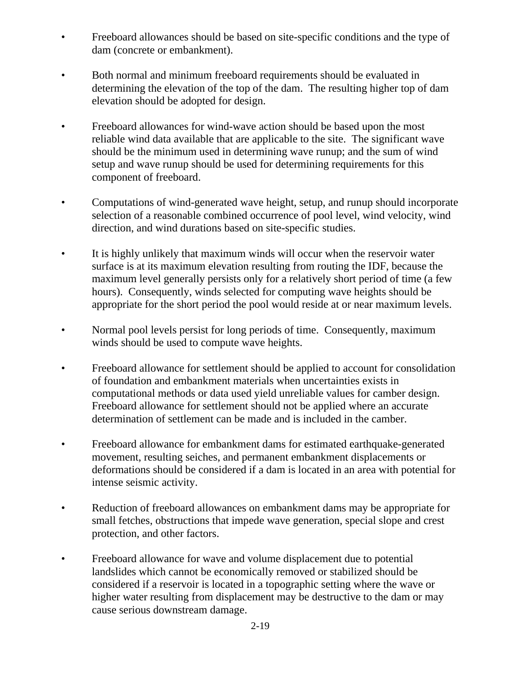- Freeboard allowances should be based on site-specific conditions and the type of dam (concrete or embankment).
- Both normal and minimum freeboard requirements should be evaluated in determining the elevation of the top of the dam. The resulting higher top of dam elevation should be adopted for design.
- Freeboard allowances for wind-wave action should be based upon the most reliable wind data available that are applicable to the site. The significant wave should be the minimum used in determining wave runup; and the sum of wind setup and wave runup should be used for determining requirements for this component of freeboard.
- Computations of wind-generated wave height, setup, and runup should incorporate selection of a reasonable combined occurrence of pool level, wind velocity, wind direction, and wind durations based on site-specific studies.
- It is highly unlikely that maximum winds will occur when the reservoir water surface is at its maximum elevation resulting from routing the IDF, because the maximum level generally persists only for a relatively short period of time (a few hours). Consequently, winds selected for computing wave heights should be appropriate for the short period the pool would reside at or near maximum levels.
- Normal pool levels persist for long periods of time. Consequently, maximum winds should be used to compute wave heights.
- Freeboard allowance for settlement should be applied to account for consolidation of foundation and embankment materials when uncertainties exists in computational methods or data used yield unreliable values for camber design. Freeboard allowance for settlement should not be applied where an accurate determination of settlement can be made and is included in the camber.
- Freeboard allowance for embankment dams for estimated earthquake-generated movement, resulting seiches, and permanent embankment displacements or deformations should be considered if a dam is located in an area with potential for intense seismic activity.
- Reduction of freeboard allowances on embankment dams may be appropriate for small fetches, obstructions that impede wave generation, special slope and crest protection, and other factors.
- Freeboard allowance for wave and volume displacement due to potential landslides which cannot be economically removed or stabilized should be considered if a reservoir is located in a topographic setting where the wave or higher water resulting from displacement may be destructive to the dam or may cause serious downstream damage.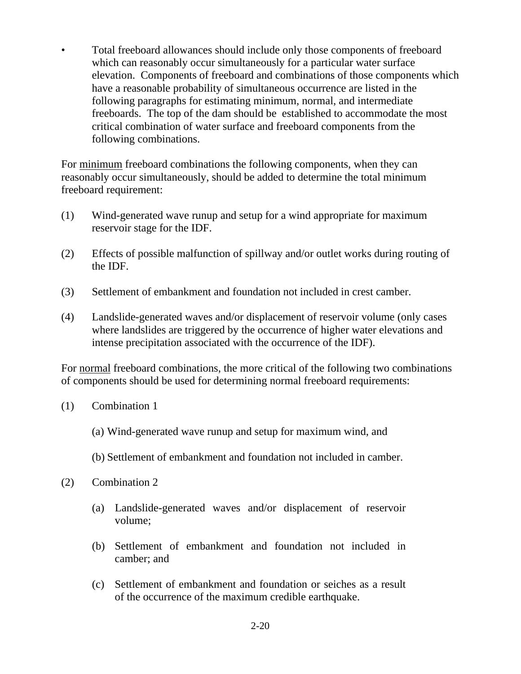• Total freeboard allowances should include only those components of freeboard which can reasonably occur simultaneously for a particular water surface elevation. Components of freeboard and combinations of those components which have a reasonable probability of simultaneous occurrence are listed in the following paragraphs for estimating minimum, normal, and intermediate freeboards. The top of the dam should be established to accommodate the most critical combination of water surface and freeboard components from the following combinations.

For minimum freeboard combinations the following components, when they can reasonably occur simultaneously, should be added to determine the total minimum freeboard requirement:

- (1) Wind-generated wave runup and setup for a wind appropriate for maximum reservoir stage for the IDF.
- (2) Effects of possible malfunction of spillway and/or outlet works during routing of the IDF.
- (3) Settlement of embankment and foundation not included in crest camber.
- (4) Landslide-generated waves and/or displacement of reservoir volume (only cases where landslides are triggered by the occurrence of higher water elevations and intense precipitation associated with the occurrence of the IDF).

For normal freeboard combinations, the more critical of the following two combinations of components should be used for determining normal freeboard requirements:

- (1) Combination 1
	- (a) Wind-generated wave runup and setup for maximum wind, and
	- (b) Settlement of embankment and foundation not included in camber.
- (2) Combination 2
	- (a) Landslide-generated waves and/or displacement of reservoir volume;
	- (b) Settlement of embankment and foundation not included in camber; and
	- (c) Settlement of embankment and foundation or seiches as a result of the occurrence of the maximum credible earthquake.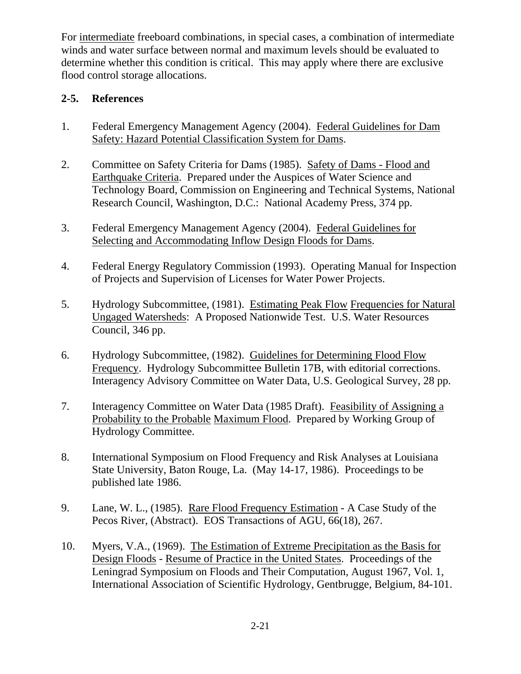For intermediate freeboard combinations, in special cases, a combination of intermediate winds and water surface between normal and maximum levels should be evaluated to determine whether this condition is critical. This may apply where there are exclusive flood control storage allocations.

#### **2-5. References**

- 1. Federal Emergency Management Agency (2004). Federal Guidelines for Dam Safety: Hazard Potential Classification System for Dams.
- 2. Committee on Safety Criteria for Dams (1985). Safety of Dams Flood and Earthquake Criteria. Prepared under the Auspices of Water Science and Technology Board, Commission on Engineering and Technical Systems, National Research Council, Washington, D.C.: National Academy Press, 374 pp.
- 3. Federal Emergency Management Agency (2004). Federal Guidelines for Selecting and Accommodating Inflow Design Floods for Dams.
- 4. Federal Energy Regulatory Commission (1993). Operating Manual for Inspection of Projects and Supervision of Licenses for Water Power Projects.
- 5. Hydrology Subcommittee, (1981). Estimating Peak Flow Frequencies for Natural Ungaged Watersheds: A Proposed Nationwide Test. U.S. Water Resources Council, 346 pp.
- 6. Hydrology Subcommittee, (1982). Guidelines for Determining Flood Flow Frequency. Hydrology Subcommittee Bulletin 17B, with editorial corrections. Interagency Advisory Committee on Water Data, U.S. Geological Survey, 28 pp.
- 7. Interagency Committee on Water Data (1985 Draft). Feasibility of Assigning a Probability to the Probable Maximum Flood. Prepared by Working Group of Hydrology Committee.
- 8. International Symposium on Flood Frequency and Risk Analyses at Louisiana State University, Baton Rouge, La. (May 14-17, 1986). Proceedings to be published late 1986.
- 9. Lane, W. L., (1985). Rare Flood Frequency Estimation A Case Study of the Pecos River, (Abstract). EOS Transactions of AGU, 66(18), 267.
- 10. Myers, V.A., (1969). The Estimation of Extreme Precipitation as the Basis for Design Floods - Resume of Practice in the United States. Proceedings of the Leningrad Symposium on Floods and Their Computation, August 1967, Vol. 1, International Association of Scientific Hydrology, Gentbrugge, Belgium, 84-101.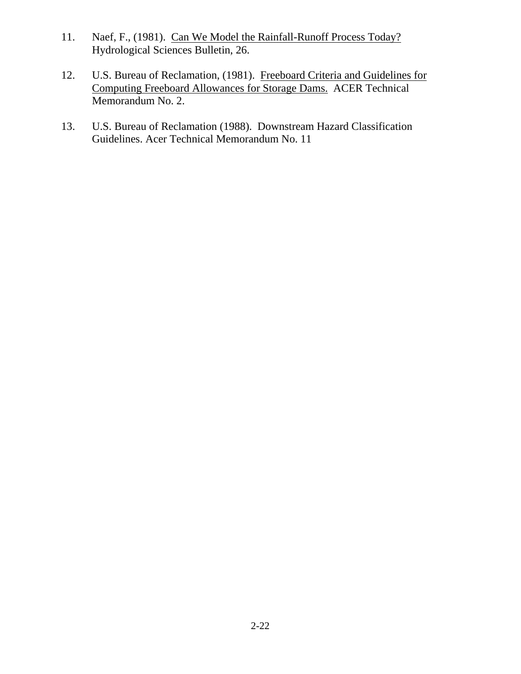- 11. Naef, F., (1981). Can We Model the Rainfall-Runoff Process Today? Hydrological Sciences Bulletin, 26.
- 12. U.S. Bureau of Reclamation, (1981). Freeboard Criteria and Guidelines for Computing Freeboard Allowances for Storage Dams. ACER Technical Memorandum No. 2.
- 13. U.S. Bureau of Reclamation (1988). Downstream Hazard Classification Guidelines. Acer Technical Memorandum No. 11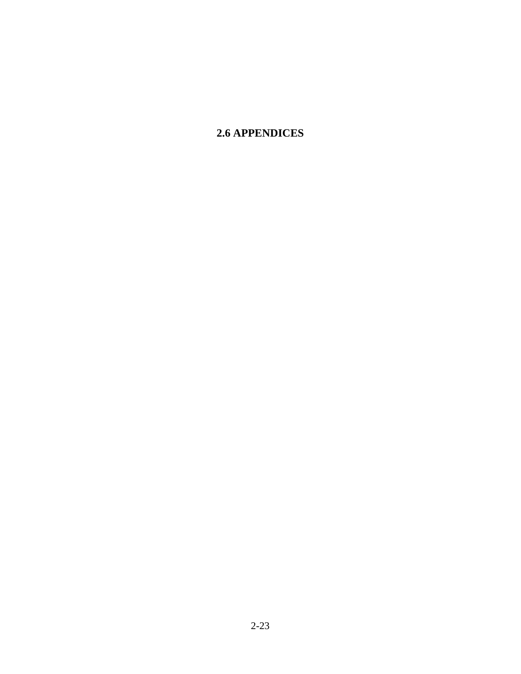# **2.6 APPENDICES**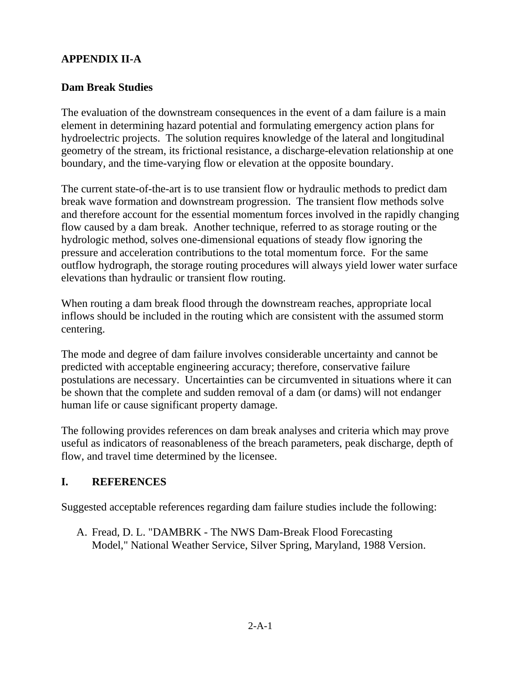# **APPENDIX II-A**

#### **Dam Break Studies**

The evaluation of the downstream consequences in the event of a dam failure is a main element in determining hazard potential and formulating emergency action plans for hydroelectric projects. The solution requires knowledge of the lateral and longitudinal geometry of the stream, its frictional resistance, a discharge-elevation relationship at one boundary, and the time-varying flow or elevation at the opposite boundary.

The current state-of-the-art is to use transient flow or hydraulic methods to predict dam break wave formation and downstream progression. The transient flow methods solve and therefore account for the essential momentum forces involved in the rapidly changing flow caused by a dam break. Another technique, referred to as storage routing or the hydrologic method, solves one-dimensional equations of steady flow ignoring the pressure and acceleration contributions to the total momentum force. For the same outflow hydrograph, the storage routing procedures will always yield lower water surface elevations than hydraulic or transient flow routing.

When routing a dam break flood through the downstream reaches, appropriate local inflows should be included in the routing which are consistent with the assumed storm centering.

The mode and degree of dam failure involves considerable uncertainty and cannot be predicted with acceptable engineering accuracy; therefore, conservative failure postulations are necessary. Uncertainties can be circumvented in situations where it can be shown that the complete and sudden removal of a dam (or dams) will not endanger human life or cause significant property damage.

The following provides references on dam break analyses and criteria which may prove useful as indicators of reasonableness of the breach parameters, peak discharge, depth of flow, and travel time determined by the licensee.

## **I. REFERENCES**

Suggested acceptable references regarding dam failure studies include the following:

A. Fread, D. L. "DAMBRK - The NWS Dam-Break Flood Forecasting Model," National Weather Service, Silver Spring, Maryland, 1988 Version.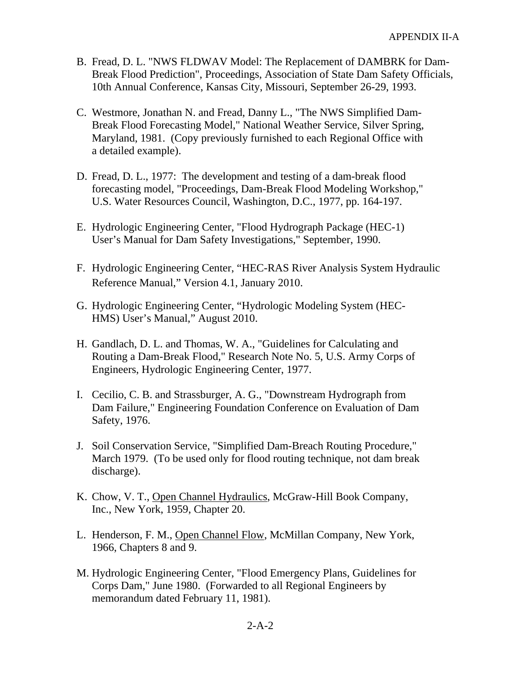- B. Fread, D. L. "NWS FLDWAV Model: The Replacement of DAMBRK for Dam-Break Flood Prediction", Proceedings, Association of State Dam Safety Officials, 10th Annual Conference, Kansas City, Missouri, September 26-29, 1993.
- C. Westmore, Jonathan N. and Fread, Danny L., "The NWS Simplified Dam-Break Flood Forecasting Model," National Weather Service, Silver Spring, Maryland, 1981. (Copy previously furnished to each Regional Office with a detailed example).
- D. Fread, D. L., 1977: The development and testing of a dam-break flood forecasting model, "Proceedings, Dam-Break Flood Modeling Workshop," U.S. Water Resources Council, Washington, D.C., 1977, pp. 164-197.
- E. Hydrologic Engineering Center, "Flood Hydrograph Package (HEC-1) User's Manual for Dam Safety Investigations," September, 1990.
- F. Hydrologic Engineering Center, "HEC-RAS River Analysis System Hydraulic Reference Manual," Version 4.1, January 2010.
- G. Hydrologic Engineering Center, "Hydrologic Modeling System (HEC-HMS) User's Manual," August 2010.
- H. Gandlach, D. L. and Thomas, W. A., "Guidelines for Calculating and Routing a Dam-Break Flood," Research Note No. 5, U.S. Army Corps of Engineers, Hydrologic Engineering Center, 1977.
- I. Cecilio, C. B. and Strassburger, A. G., "Downstream Hydrograph from Dam Failure," Engineering Foundation Conference on Evaluation of Dam Safety, 1976.
- J. Soil Conservation Service, "Simplified Dam-Breach Routing Procedure," March 1979. (To be used only for flood routing technique, not dam break discharge).
- K. Chow, V. T., Open Channel Hydraulics, McGraw-Hill Book Company, Inc., New York, 1959, Chapter 20.
- L. Henderson, F. M., Open Channel Flow, McMillan Company, New York, 1966, Chapters 8 and 9.
- M. Hydrologic Engineering Center, "Flood Emergency Plans, Guidelines for Corps Dam," June 1980. (Forwarded to all Regional Engineers by memorandum dated February 11, 1981).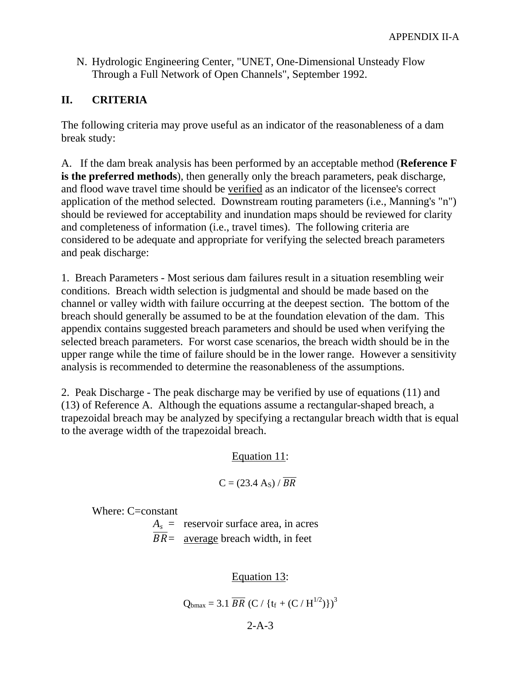N. Hydrologic Engineering Center, "UNET, One-Dimensional Unsteady Flow Through a Full Network of Open Channels", September 1992.

## **II. CRITERIA**

The following criteria may prove useful as an indicator of the reasonableness of a dam break study:

A. If the dam break analysis has been performed by an acceptable method (**Reference F is the preferred methods**), then generally only the breach parameters, peak discharge, and flood wave travel time should be verified as an indicator of the licensee's correct application of the method selected. Downstream routing parameters (i.e., Manning's "n") should be reviewed for acceptability and inundation maps should be reviewed for clarity and completeness of information (i.e., travel times). The following criteria are considered to be adequate and appropriate for verifying the selected breach parameters and peak discharge:

1. Breach Parameters - Most serious dam failures result in a situation resembling weir conditions. Breach width selection is judgmental and should be made based on the channel or valley width with failure occurring at the deepest section. The bottom of the breach should generally be assumed to be at the foundation elevation of the dam. This appendix contains suggested breach parameters and should be used when verifying the selected breach parameters. For worst case scenarios, the breach width should be in the upper range while the time of failure should be in the lower range. However a sensitivity analysis is recommended to determine the reasonableness of the assumptions.

2. Peak Discharge - The peak discharge may be verified by use of equations (11) and (13) of Reference A. Although the equations assume a rectangular-shaped breach, a trapezoidal breach may be analyzed by specifying a rectangular breach width that is equal to the average width of the trapezoidal breach.

#### Equation 11:

$$
C = (23.4 \text{ A}_s) / \overline{BR}
$$

Where: C=constant

 $A_s$  = reservoir surface area, in acres  $BR =$  average breach width, in feet

Equation 13:

$$
Q_{bmax} = 3.1 \overline{BR} (C / \{t_f + (C / H^{1/2})\})^3
$$

2-A-3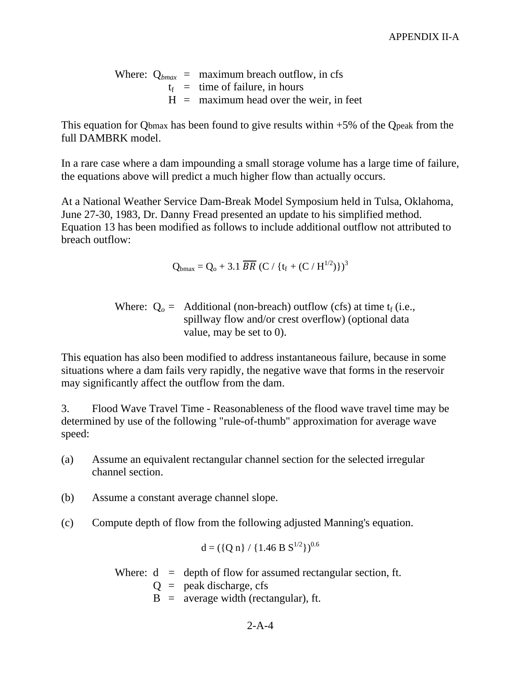Where:  $Q_{bmax}$  = maximum breach outflow, in cfs  $t_f$  = time of failure, in hours  $H =$  maximum head over the weir, in feet

This equation for Qbmax has been found to give results within +5% of the Qpeak from the full DAMBRK model.

In a rare case where a dam impounding a small storage volume has a large time of failure, the equations above will predict a much higher flow than actually occurs.

At a National Weather Service Dam-Break Model Symposium held in Tulsa, Oklahoma, June 27-30, 1983, Dr. Danny Fread presented an update to his simplified method. Equation 13 has been modified as follows to include additional outflow not attributed to breach outflow:

$$
Q_{bmax} = Q_o + 3.1 \overline{BR} (C / \{t_f + (C / H^{1/2})\})^3
$$

Where:  $Q_o =$  Additional (non-breach) outflow (cfs) at time  $t_f$  (i.e., spillway flow and/or crest overflow) (optional data value, may be set to 0).

This equation has also been modified to address instantaneous failure, because in some situations where a dam fails very rapidly, the negative wave that forms in the reservoir may significantly affect the outflow from the dam.

3. Flood Wave Travel Time - Reasonableness of the flood wave travel time may be determined by use of the following "rule-of-thumb" approximation for average wave speed:

- (a) Assume an equivalent rectangular channel section for the selected irregular channel section.
- (b) Assume a constant average channel slope.
- (c) Compute depth of flow from the following adjusted Manning's equation.

$$
d = (\{Q n\} / \{1.46 B S^{1/2}\})^{0.6}
$$

Where:  $d =$  depth of flow for assumed rectangular section, ft.

 $Q =$  peak discharge, cfs

 $B =$  average width (rectangular), ft.

 $2 - A - 4$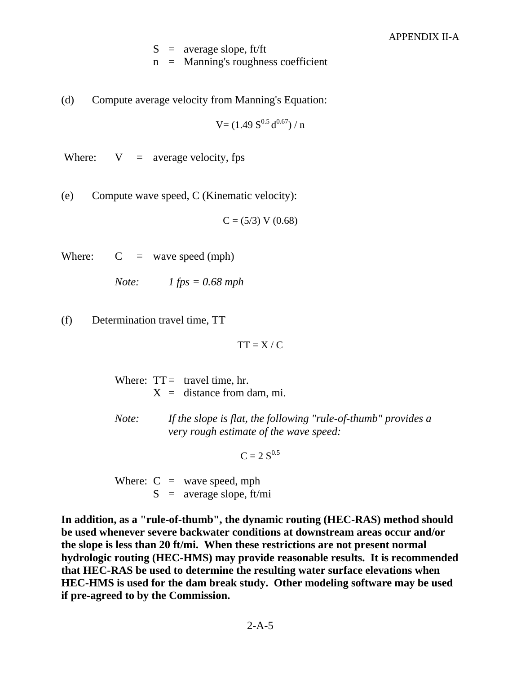$S =$  average slope, ft/ft

 $n =$  Manning's roughness coefficient

(d) Compute average velocity from Manning's Equation:

 $V = (1.49 S^{0.5} d^{0.67}) / n$ 

Where:  $V = average velocity, fps$ 

(e) Compute wave speed, C (Kinematic velocity):

 $C = (5/3) V (0.68)$ 

Where:  $C = wave speed (mph)$ 

*Note: 1 fps = 0.68 mph* 

(f) Determination travel time, TT

 $TT = X / C$ 

Where:  $TT =$  travel time, hr.  $X =$  distance from dam, mi.

*Note: If the slope is flat, the following "rule-of-thumb" provides a very rough estimate of the wave speed:*

 $C = 2 S^{0.5}$ 

Where:  $C =$  wave speed, mph  $S =$  average slope, ft/mi

**In addition, as a "rule-of-thumb", the dynamic routing (HEC-RAS) method should be used whenever severe backwater conditions at downstream areas occur and/or the slope is less than 20 ft/mi. When these restrictions are not present normal hydrologic routing (HEC-HMS) may provide reasonable results. It is recommended that HEC-RAS be used to determine the resulting water surface elevations when HEC-HMS is used for the dam break study. Other modeling software may be used if pre-agreed to by the Commission.**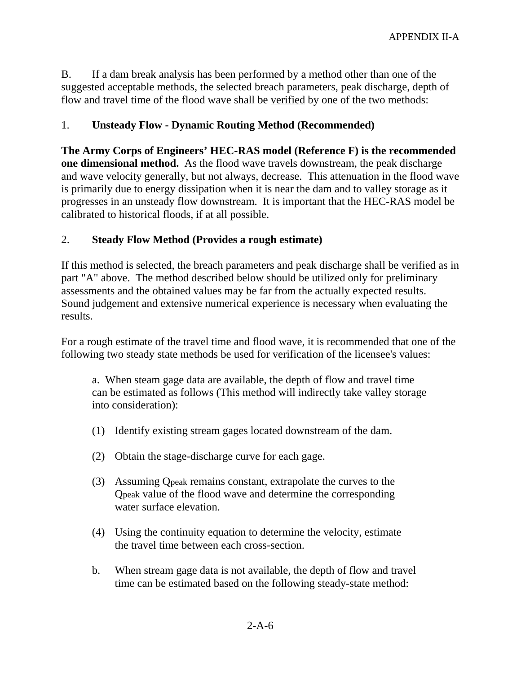B. If a dam break analysis has been performed by a method other than one of the suggested acceptable methods, the selected breach parameters, peak discharge, depth of flow and travel time of the flood wave shall be verified by one of the two methods:

#### 1. **Unsteady Flow - Dynamic Routing Method (Recommended)**

**The Army Corps of Engineers' HEC-RAS model (Reference F) is the recommended one dimensional method.** As the flood wave travels downstream, the peak discharge and wave velocity generally, but not always, decrease. This attenuation in the flood wave is primarily due to energy dissipation when it is near the dam and to valley storage as it progresses in an unsteady flow downstream. It is important that the HEC-RAS model be calibrated to historical floods, if at all possible.

#### 2. **Steady Flow Method (Provides a rough estimate)**

If this method is selected, the breach parameters and peak discharge shall be verified as in part "A" above. The method described below should be utilized only for preliminary assessments and the obtained values may be far from the actually expected results. Sound judgement and extensive numerical experience is necessary when evaluating the results.

For a rough estimate of the travel time and flood wave, it is recommended that one of the following two steady state methods be used for verification of the licensee's values:

a. When steam gage data are available, the depth of flow and travel time can be estimated as follows (This method will indirectly take valley storage into consideration):

- (1) Identify existing stream gages located downstream of the dam.
- (2) Obtain the stage-discharge curve for each gage.
- (3) Assuming Qpeak remains constant, extrapolate the curves to the Qpeak value of the flood wave and determine the corresponding water surface elevation.
- (4) Using the continuity equation to determine the velocity, estimate the travel time between each cross-section.
- b. When stream gage data is not available, the depth of flow and travel time can be estimated based on the following steady-state method: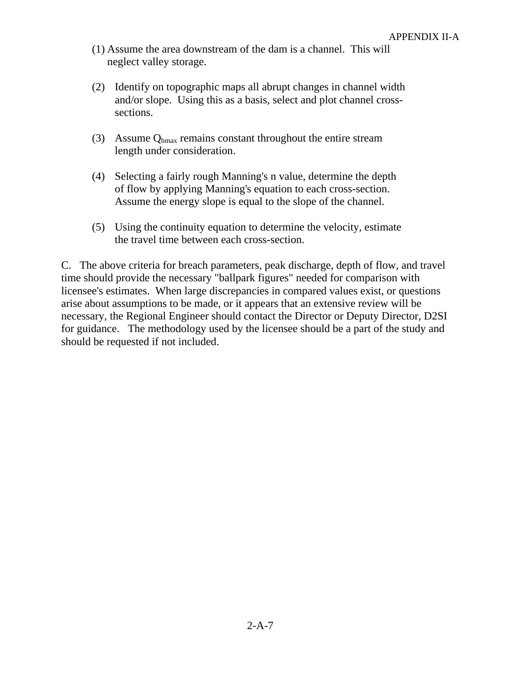- (1) Assume the area downstream of the dam is a channel. This will neglect valley storage.
- (2) Identify on topographic maps all abrupt changes in channel width and/or slope. Using this as a basis, select and plot channel crosssections.
- (3) Assume  $Q_{bmax}$  remains constant throughout the entire stream length under consideration.
- (4) Selecting a fairly rough Manning's n value, determine the depth of flow by applying Manning's equation to each cross-section. Assume the energy slope is equal to the slope of the channel.
- (5) Using the continuity equation to determine the velocity, estimate the travel time between each cross-section.

C. The above criteria for breach parameters, peak discharge, depth of flow, and travel time should provide the necessary "ballpark figures" needed for comparison with licensee's estimates. When large discrepancies in compared values exist, or questions arise about assumptions to be made, or it appears that an extensive review will be necessary, the Regional Engineer should contact the Director or Deputy Director, D2SI for guidance. The methodology used by the licensee should be a part of the study and should be requested if not included.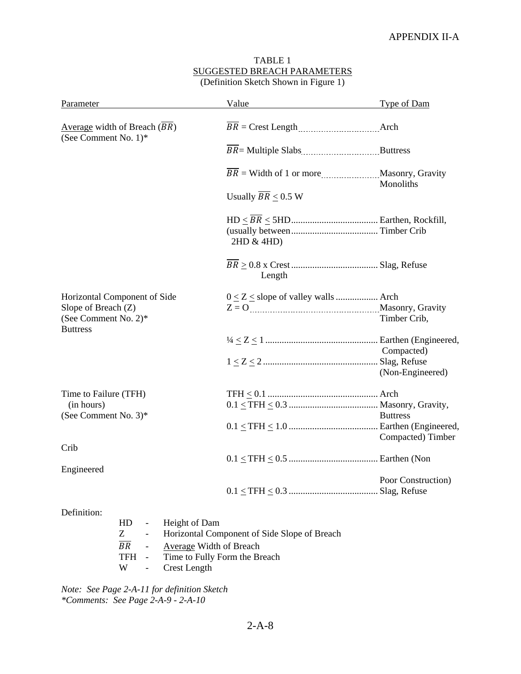| (Definition Sketch Shown in Figure 1)                                                          |                                    |                    |  |  |  |
|------------------------------------------------------------------------------------------------|------------------------------------|--------------------|--|--|--|
| Parameter                                                                                      | Value                              | Type of Dam        |  |  |  |
| Average width of Breach $(BR)$<br>(See Comment No. 1)*                                         |                                    |                    |  |  |  |
|                                                                                                |                                    |                    |  |  |  |
|                                                                                                |                                    | Monoliths          |  |  |  |
|                                                                                                | Usually $\overline{BR} \leq 0.5$ W |                    |  |  |  |
|                                                                                                | 2HD & 4HD)                         |                    |  |  |  |
|                                                                                                | Length                             |                    |  |  |  |
| Horizontal Component of Side<br>Slope of Breach (Z)<br>(See Comment No. 2)*<br><b>Buttress</b> |                                    | Timber Crib,       |  |  |  |
|                                                                                                |                                    | Compacted)         |  |  |  |
|                                                                                                |                                    | (Non-Engineered)   |  |  |  |
| Time to Failure (TFH)<br>(in hours)<br>(See Comment No. $3$ )*                                 |                                    | <b>Buttress</b>    |  |  |  |
|                                                                                                |                                    | Compacted) Timber  |  |  |  |
| Crib<br>Engineered                                                                             |                                    |                    |  |  |  |
|                                                                                                |                                    | Poor Construction) |  |  |  |

# TABLE 1 SUGGESTED BREACH PARAMETERS

Definition:

|       | HD - Height of Dam                             |
|-------|------------------------------------------------|
| $Z^-$ | - Horizontal Component of Side Slope of Breach |
|       | BR - Average Width of Breach                   |
|       | TFH - Time to Fully Form the Breach            |
|       | W - Crest Length                               |

*Note: See Page 2-A-11 for definition Sketch \*Comments: See Page 2-A-9 - 2-A-10* 

2-A-8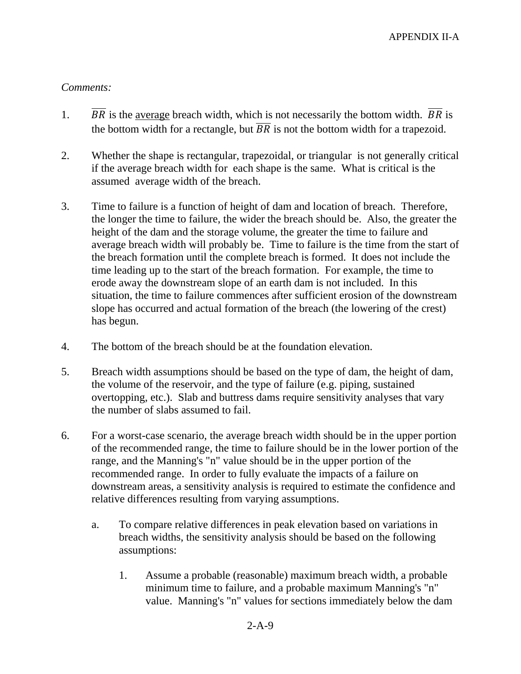#### *Comments:*

- 1.  $\overline{BR}$  is the average breach width, which is not necessarily the bottom width.  $\overline{BR}$  is the bottom width for a rectangle, but  $\overline{BR}$  is not the bottom width for a trapezoid.
- 2. Whether the shape is rectangular, trapezoidal, or triangular is not generally critical if the average breach width for each shape is the same. What is critical is the assumed average width of the breach.
- 3. Time to failure is a function of height of dam and location of breach. Therefore, the longer the time to failure, the wider the breach should be. Also, the greater the height of the dam and the storage volume, the greater the time to failure and average breach width will probably be. Time to failure is the time from the start of the breach formation until the complete breach is formed. It does not include the time leading up to the start of the breach formation. For example, the time to erode away the downstream slope of an earth dam is not included. In this situation, the time to failure commences after sufficient erosion of the downstream slope has occurred and actual formation of the breach (the lowering of the crest) has begun.
- 4. The bottom of the breach should be at the foundation elevation.
- 5. Breach width assumptions should be based on the type of dam, the height of dam, the volume of the reservoir, and the type of failure (e.g. piping, sustained overtopping, etc.). Slab and buttress dams require sensitivity analyses that vary the number of slabs assumed to fail.
- 6. For a worst-case scenario, the average breach width should be in the upper portion of the recommended range, the time to failure should be in the lower portion of the range, and the Manning's "n" value should be in the upper portion of the recommended range. In order to fully evaluate the impacts of a failure on downstream areas, a sensitivity analysis is required to estimate the confidence and relative differences resulting from varying assumptions.
	- a. To compare relative differences in peak elevation based on variations in breach widths, the sensitivity analysis should be based on the following assumptions:
		- 1. Assume a probable (reasonable) maximum breach width, a probable minimum time to failure, and a probable maximum Manning's "n" value. Manning's "n" values for sections immediately below the dam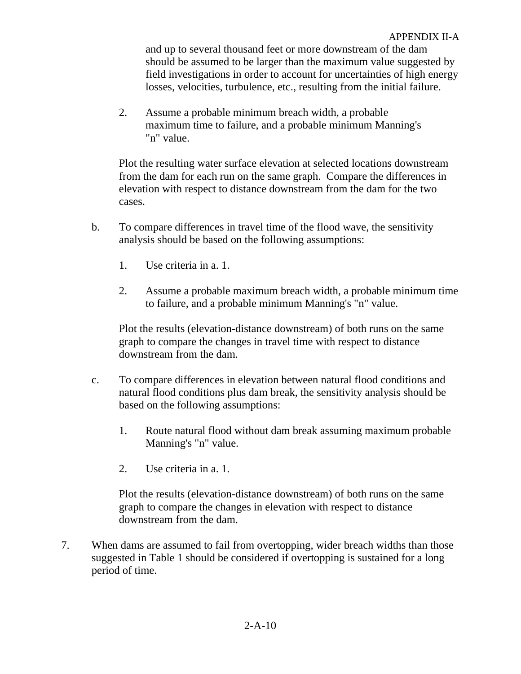and up to several thousand feet or more downstream of the dam should be assumed to be larger than the maximum value suggested by field investigations in order to account for uncertainties of high energy losses, velocities, turbulence, etc., resulting from the initial failure.

 2. Assume a probable minimum breach width, a probable maximum time to failure, and a probable minimum Manning's "n" value.

Plot the resulting water surface elevation at selected locations downstream from the dam for each run on the same graph. Compare the differences in elevation with respect to distance downstream from the dam for the two cases.

- b. To compare differences in travel time of the flood wave, the sensitivity analysis should be based on the following assumptions:
	- 1. Use criteria in a. 1.
	- 2. Assume a probable maximum breach width, a probable minimum time to failure, and a probable minimum Manning's "n" value.

Plot the results (elevation-distance downstream) of both runs on the same graph to compare the changes in travel time with respect to distance downstream from the dam.

- c. To compare differences in elevation between natural flood conditions and natural flood conditions plus dam break, the sensitivity analysis should be based on the following assumptions:
	- 1. Route natural flood without dam break assuming maximum probable Manning's "n" value.
	- 2. Use criteria in a. 1.

Plot the results (elevation-distance downstream) of both runs on the same graph to compare the changes in elevation with respect to distance downstream from the dam.

7. When dams are assumed to fail from overtopping, wider breach widths than those suggested in Table 1 should be considered if overtopping is sustained for a long period of time.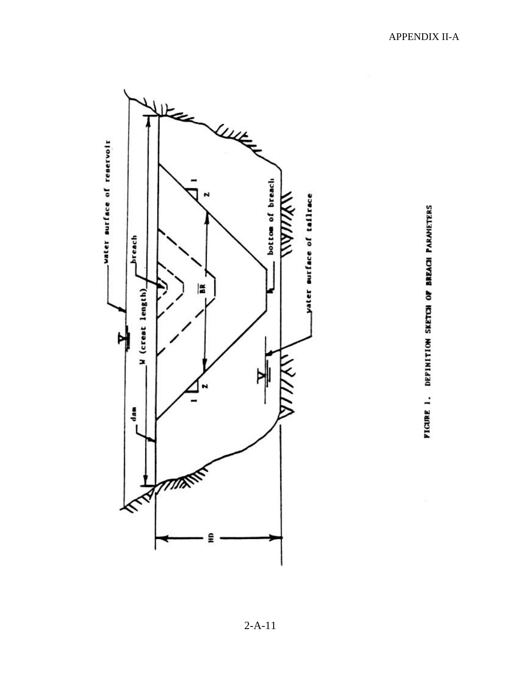

PIGURE 1. DEPINITION SKETCH OF BREACH PARAMETERS

2-A-11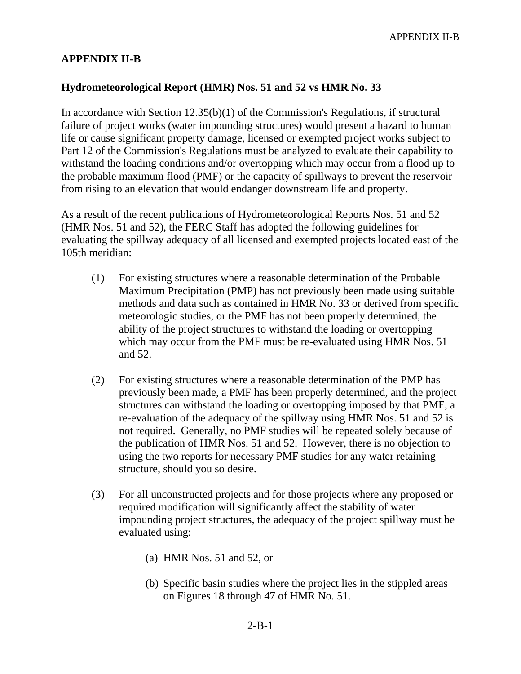#### **APPENDIX II-B**

#### **Hydrometeorological Report (HMR) Nos. 51 and 52 vs HMR No. 33**

In accordance with Section 12.35(b)(1) of the Commission's Regulations, if structural failure of project works (water impounding structures) would present a hazard to human life or cause significant property damage, licensed or exempted project works subject to Part 12 of the Commission's Regulations must be analyzed to evaluate their capability to withstand the loading conditions and/or overtopping which may occur from a flood up to the probable maximum flood (PMF) or the capacity of spillways to prevent the reservoir from rising to an elevation that would endanger downstream life and property.

As a result of the recent publications of Hydrometeorological Reports Nos. 51 and 52 (HMR Nos. 51 and 52), the FERC Staff has adopted the following guidelines for evaluating the spillway adequacy of all licensed and exempted projects located east of the 105th meridian:

- (1) For existing structures where a reasonable determination of the Probable Maximum Precipitation (PMP) has not previously been made using suitable methods and data such as contained in HMR No. 33 or derived from specific meteorologic studies, or the PMF has not been properly determined, the ability of the project structures to withstand the loading or overtopping which may occur from the PMF must be re-evaluated using HMR Nos. 51 and 52.
- (2) For existing structures where a reasonable determination of the PMP has previously been made, a PMF has been properly determined, and the project structures can withstand the loading or overtopping imposed by that PMF, a re-evaluation of the adequacy of the spillway using HMR Nos. 51 and 52 is not required. Generally, no PMF studies will be repeated solely because of the publication of HMR Nos. 51 and 52. However, there is no objection to using the two reports for necessary PMF studies for any water retaining structure, should you so desire.
- (3) For all unconstructed projects and for those projects where any proposed or required modification will significantly affect the stability of water impounding project structures, the adequacy of the project spillway must be evaluated using:
	- (a) HMR Nos. 51 and 52, or
	- (b) Specific basin studies where the project lies in the stippled areas on Figures 18 through 47 of HMR No. 51.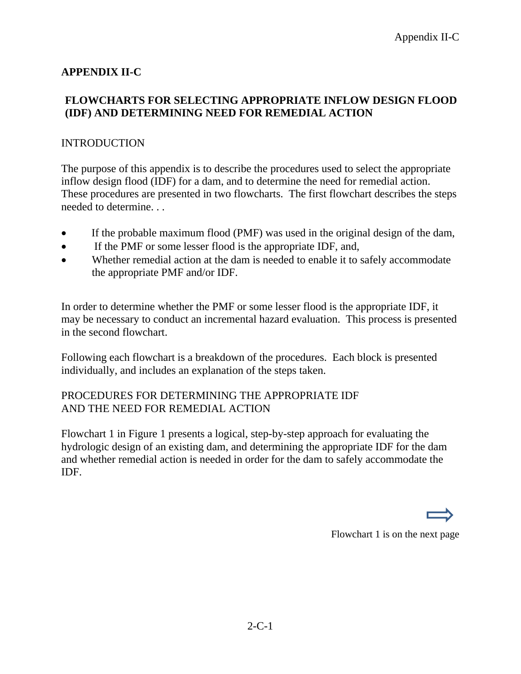## **APPENDIX II-C**

#### **FLOWCHARTS FOR SELECTING APPROPRIATE INFLOW DESIGN FLOOD (IDF) AND DETERMINING NEED FOR REMEDIAL ACTION**

#### INTRODUCTION

The purpose of this appendix is to describe the procedures used to select the appropriate inflow design flood (IDF) for a dam, and to determine the need for remedial action. These procedures are presented in two flowcharts. The first flowchart describes the steps needed to determine. . .

- If the probable maximum flood (PMF) was used in the original design of the dam,
- If the PMF or some lesser flood is the appropriate IDF, and,
- Whether remedial action at the dam is needed to enable it to safely accommodate the appropriate PMF and/or IDF.

In order to determine whether the PMF or some lesser flood is the appropriate IDF, it may be necessary to conduct an incremental hazard evaluation. This process is presented in the second flowchart.

Following each flowchart is a breakdown of the procedures. Each block is presented individually, and includes an explanation of the steps taken.

#### PROCEDURES FOR DETERMINING THE APPROPRIATE IDF AND THE NEED FOR REMEDIAL ACTION

Flowchart 1 in Figure 1 presents a logical, step-by-step approach for evaluating the hydrologic design of an existing dam, and determining the appropriate IDF for the dam and whether remedial action is needed in order for the dam to safely accommodate the IDF.

Flowchart 1 is on the next page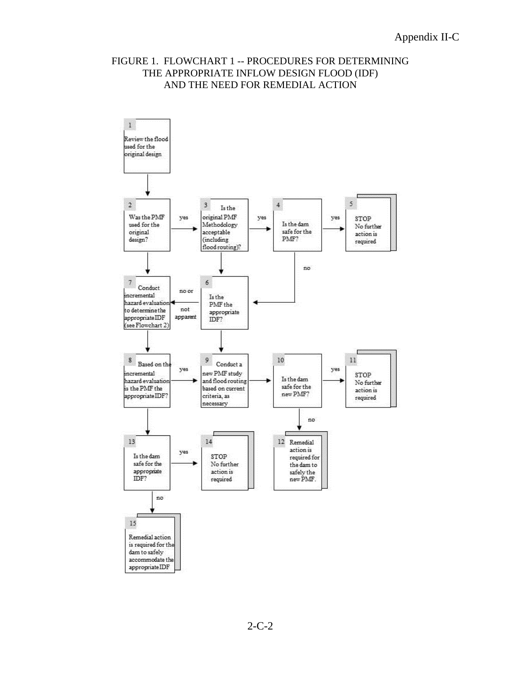#### FIGURE 1. FLOWCHART 1 -- PROCEDURES FOR DETERMINING THE APPROPRIATE INFLOW DESIGN FLOOD (IDF) AND THE NEED FOR REMEDIAL ACTION

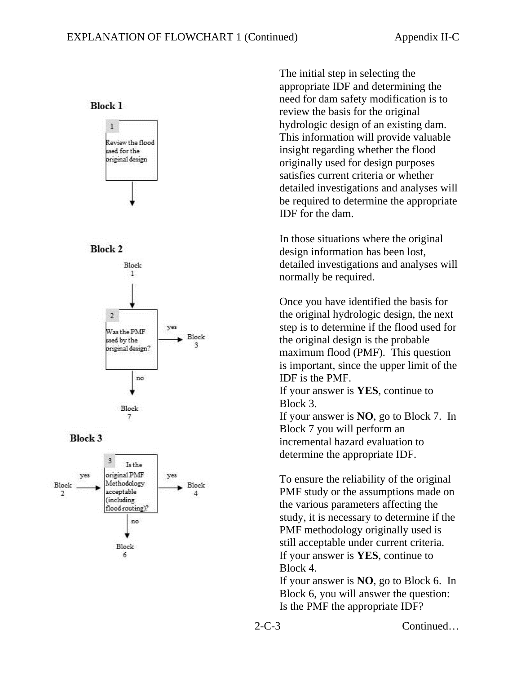**Block 1** 











The initial step in selecting the appropriate IDF and determining the need for dam safety modification is to review the basis for the original hydrologic design of an existing dam. This information will provide valuable insight regarding whether the flood originally used for design purposes satisfies current criteria or whether detailed investigations and analyses will be required to determine the appropriate IDF for the dam.

In those situations where the original design information has been lost, detailed investigations and analyses will normally be required.

Once you have identified the basis for the original hydrologic design, the next step is to determine if the flood used for the original design is the probable maximum flood (PMF). This question is important, since the upper limit of the IDF is the PMF.

If your answer is **YES**, continue to Block 3.

If your answer is **NO**, go to Block 7. In Block 7 you will perform an incremental hazard evaluation to determine the appropriate IDF.

To ensure the reliability of the original PMF study or the assumptions made on the various parameters affecting the study, it is necessary to determine if the PMF methodology originally used is still acceptable under current criteria. If your answer is **YES**, continue to Block 4.

If your answer is **NO**, go to Block 6. In Block 6, you will answer the question: Is the PMF the appropriate IDF?

2-C-3 Continued…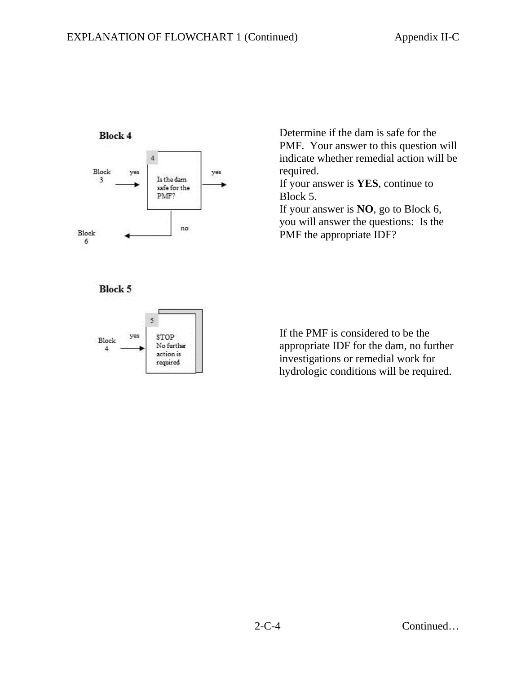

Determine if the dam is safe for the PMF. Your answer to this question will indicate whether remedial action will be required.

If your answer is **YES**, continue to Block 5.

If your answer is **NO**, go to Block 6, you will answer the questions: Is the PMF the appropriate IDF?

**Block 5** 



If the PMF is considered to be the appropriate IDF for the dam, no further investigations or remedial work for hydrologic conditions will be required.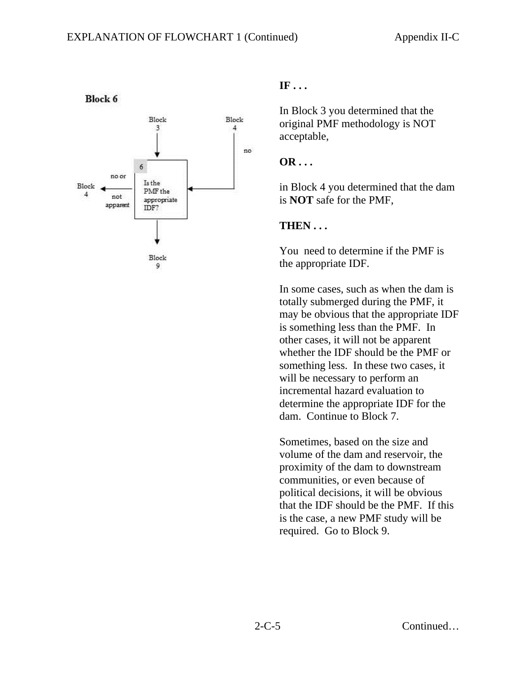

#### **Block 6**

### **IF . . .**

In Block 3 you determined that the original PMF methodology is NOT acceptable,

#### **OR . . .**

in Block 4 you determined that the dam is **NOT** safe for the PMF,

#### **THEN . . .**

You need to determine if the PMF is the appropriate IDF.

In some cases, such as when the dam is totally submerged during the PMF, it may be obvious that the appropriate IDF is something less than the PMF. In other cases, it will not be apparent whether the IDF should be the PMF or something less. In these two cases, it will be necessary to perform an incremental hazard evaluation to determine the appropriate IDF for the dam. Continue to Block 7.

Sometimes, based on the size and volume of the dam and reservoir, the proximity of the dam to downstream communities, or even because of political decisions, it will be obvious that the IDF should be the PMF. If this is the case, a new PMF study will be required. Go to Block 9.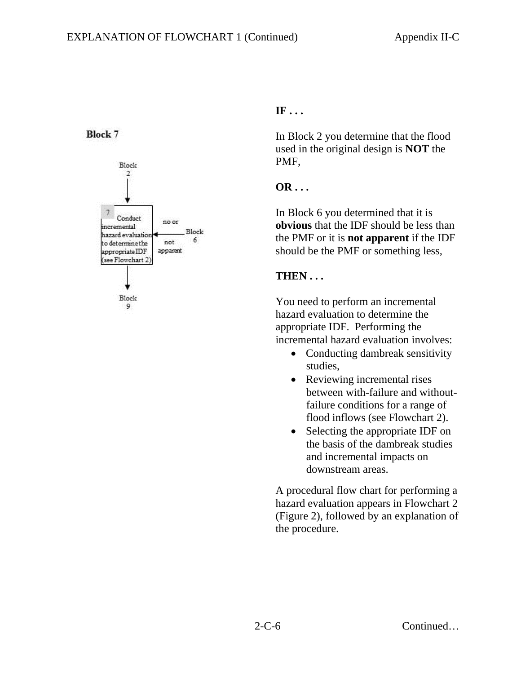## **Block 7**



# **IF . . .**

In Block 2 you determine that the flood used in the original design is **NOT** the PMF,

## **OR . . .**

In Block 6 you determined that it is **obvious** that the IDF should be less than the PMF or it is **not apparent** if the IDF should be the PMF or something less,

## **THEN . . .**

You need to perform an incremental hazard evaluation to determine the appropriate IDF. Performing the incremental hazard evaluation involves:

- Conducting dambreak sensitivity studies,
- Reviewing incremental rises between with-failure and withoutfailure conditions for a range of flood inflows (see Flowchart 2).
- Selecting the appropriate IDF on the basis of the dambreak studies and incremental impacts on downstream areas.

A procedural flow chart for performing a hazard evaluation appears in Flowchart 2 (Figure 2), followed by an explanation of the procedure.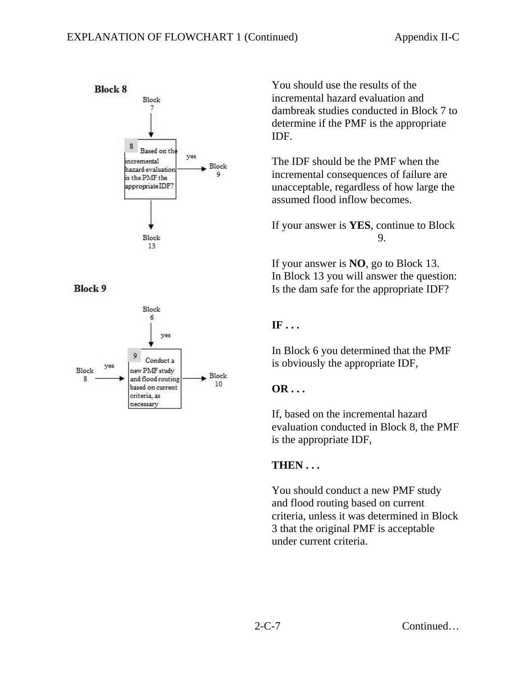

**Block 9** 



You should use the results of the incremental hazard evaluation and dambreak studies conducted in Block 7 to determine if the PMF is the appropriate IDF.

The IDF should be the PMF when the incremental consequences of failure are unacceptable, regardless of how large the assumed flood inflow becomes.

If your answer is **YES**, continue to Block 9.

If your answer is **NO**, go to Block 13. In Block 13 you will answer the question: Is the dam safe for the appropriate IDF?

# **IF . . .**

In Block 6 you determined that the PMF is obviously the appropriate IDF,

# **OR . . .**

If, based on the incremental hazard evaluation conducted in Block 8, the PMF is the appropriate IDF,

# **THEN . . .**

You should conduct a new PMF study and flood routing based on current criteria, unless it was determined in Block 3 that the original PMF is acceptable under current criteria.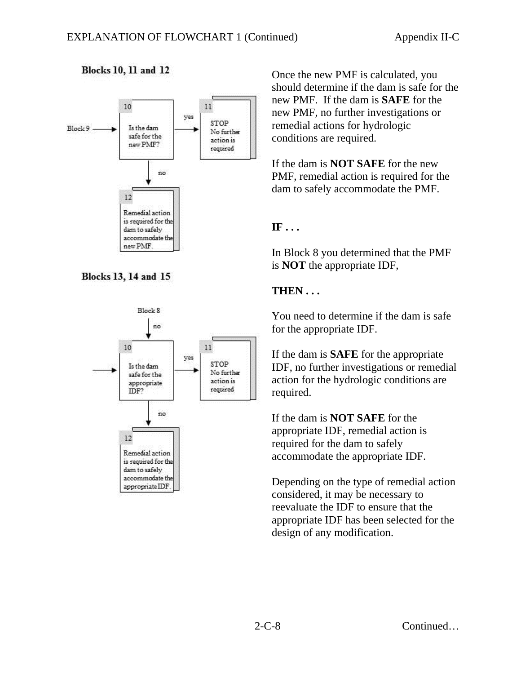

# **Blocks 13, 14 and 15**

**Blocks 10, 11 and 12** 



Once the new PMF is calculated, you should determine if the dam is safe for the new PMF. If the dam is **SAFE** for the new PMF, no further investigations or remedial actions for hydrologic conditions are required.

If the dam is **NOT SAFE** for the new PMF, remedial action is required for the dam to safely accommodate the PMF.

#### **IF . . .**

In Block 8 you determined that the PMF is **NOT** the appropriate IDF,

#### **THEN . . .**

You need to determine if the dam is safe for the appropriate IDF.

If the dam is **SAFE** for the appropriate IDF, no further investigations or remedial action for the hydrologic conditions are required.

If the dam is **NOT SAFE** for the appropriate IDF, remedial action is required for the dam to safely accommodate the appropriate IDF.

Depending on the type of remedial action considered, it may be necessary to reevaluate the IDF to ensure that the appropriate IDF has been selected for the design of any modification.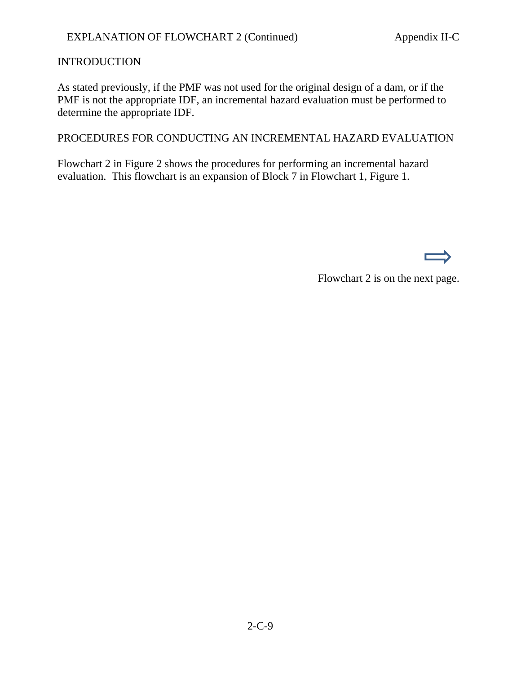#### INTRODUCTION

As stated previously, if the PMF was not used for the original design of a dam, or if the PMF is not the appropriate IDF, an incremental hazard evaluation must be performed to determine the appropriate IDF.

PROCEDURES FOR CONDUCTING AN INCREMENTAL HAZARD EVALUATION

Flowchart 2 in Figure 2 shows the procedures for performing an incremental hazard evaluation. This flowchart is an expansion of Block 7 in Flowchart 1, Figure 1.

Flowchart 2 is on the next page.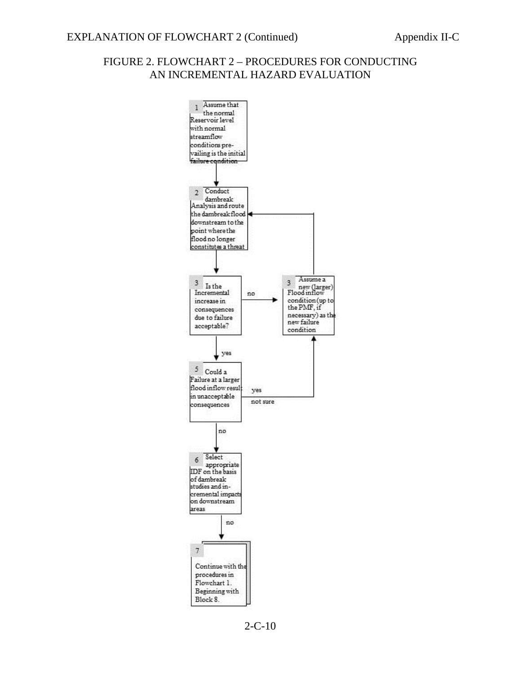#### FIGURE 2. FLOWCHART 2 – PROCEDURES FOR CONDUCTING AN INCREMENTAL HAZARD EVALUATION



2-C-10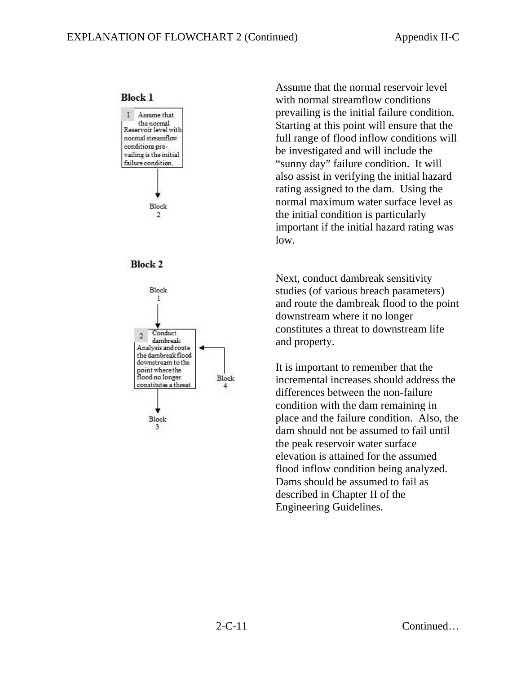**Block 1** 







Assume that the normal reservoir level with normal streamflow conditions prevailing is the initial failure condition. Starting at this point will ensure that the full range of flood inflow conditions will be investigated and will include the "sunny day" failure condition. It will also assist in verifying the initial hazard rating assigned to the dam. Using the normal maximum water surface level as the initial condition is particularly important if the initial hazard rating was low.

Next, conduct dambreak sensitivity studies (of various breach parameters) and route the dambreak flood to the point downstream where it no longer constitutes a threat to downstream life and property.

It is important to remember that the incremental increases should address the differences between the non-failure condition with the dam remaining in place and the failure condition. Also, the dam should not be assumed to fail until the peak reservoir water surface elevation is attained for the assumed flood inflow condition being analyzed. Dams should be assumed to fail as described in Chapter II of the Engineering Guidelines.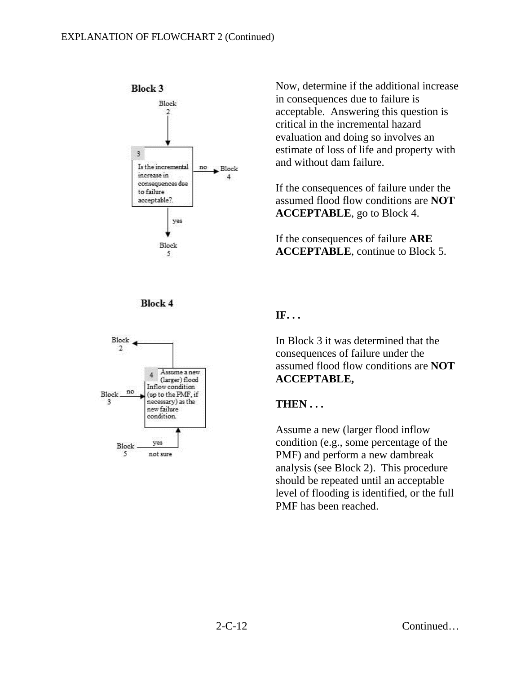





Now, determine if the additional increase in consequences due to failure is acceptable. Answering this question is critical in the incremental hazard evaluation and doing so involves an estimate of loss of life and property with and without dam failure.

If the consequences of failure under the assumed flood flow conditions are **NOT ACCEPTABLE**, go to Block 4.

If the consequences of failure **ARE ACCEPTABLE**, continue to Block 5.

#### **IF. . .**

In Block 3 it was determined that the consequences of failure under the assumed flood flow conditions are **NOT ACCEPTABLE,** 

#### **THEN . . .**

Assume a new (larger flood inflow condition (e.g., some percentage of the PMF) and perform a new dambreak analysis (see Block 2). This procedure should be repeated until an acceptable level of flooding is identified, or the full PMF has been reached.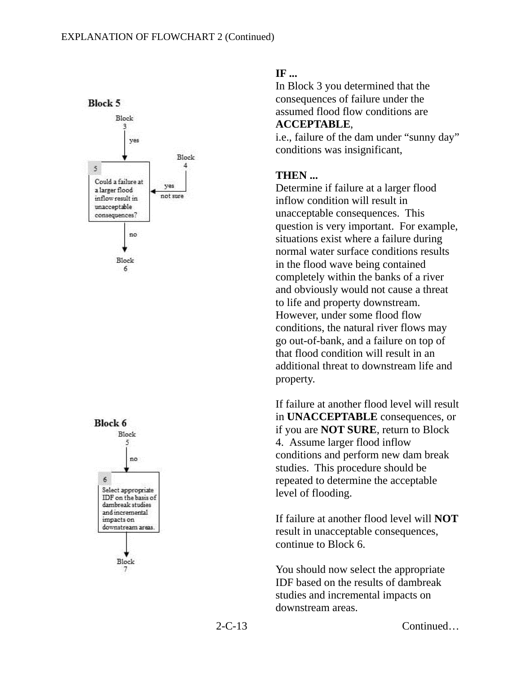



#### **IF ...**

In Block 3 you determined that the consequences of failure under the assumed flood flow conditions are **ACCEPTABLE**,

i.e., failure of the dam under "sunny day" conditions was insignificant,

## **THEN ...**

Determine if failure at a larger flood inflow condition will result in unacceptable consequences. This question is very important. For example, situations exist where a failure during normal water surface conditions results in the flood wave being contained completely within the banks of a river and obviously would not cause a threat to life and property downstream. However, under some flood flow conditions, the natural river flows may go out-of-bank, and a failure on top of that flood condition will result in an additional threat to downstream life and property.

If failure at another flood level will result in **UNACCEPTABLE** consequences, or if you are **NOT SURE**, return to Block 4. Assume larger flood inflow conditions and perform new dam break studies. This procedure should be repeated to determine the acceptable level of flooding.

If failure at another flood level will **NOT** result in unacceptable consequences, continue to Block 6.

You should now select the appropriate IDF based on the results of dambreak studies and incremental impacts on downstream areas.

2-C-13 Continued…